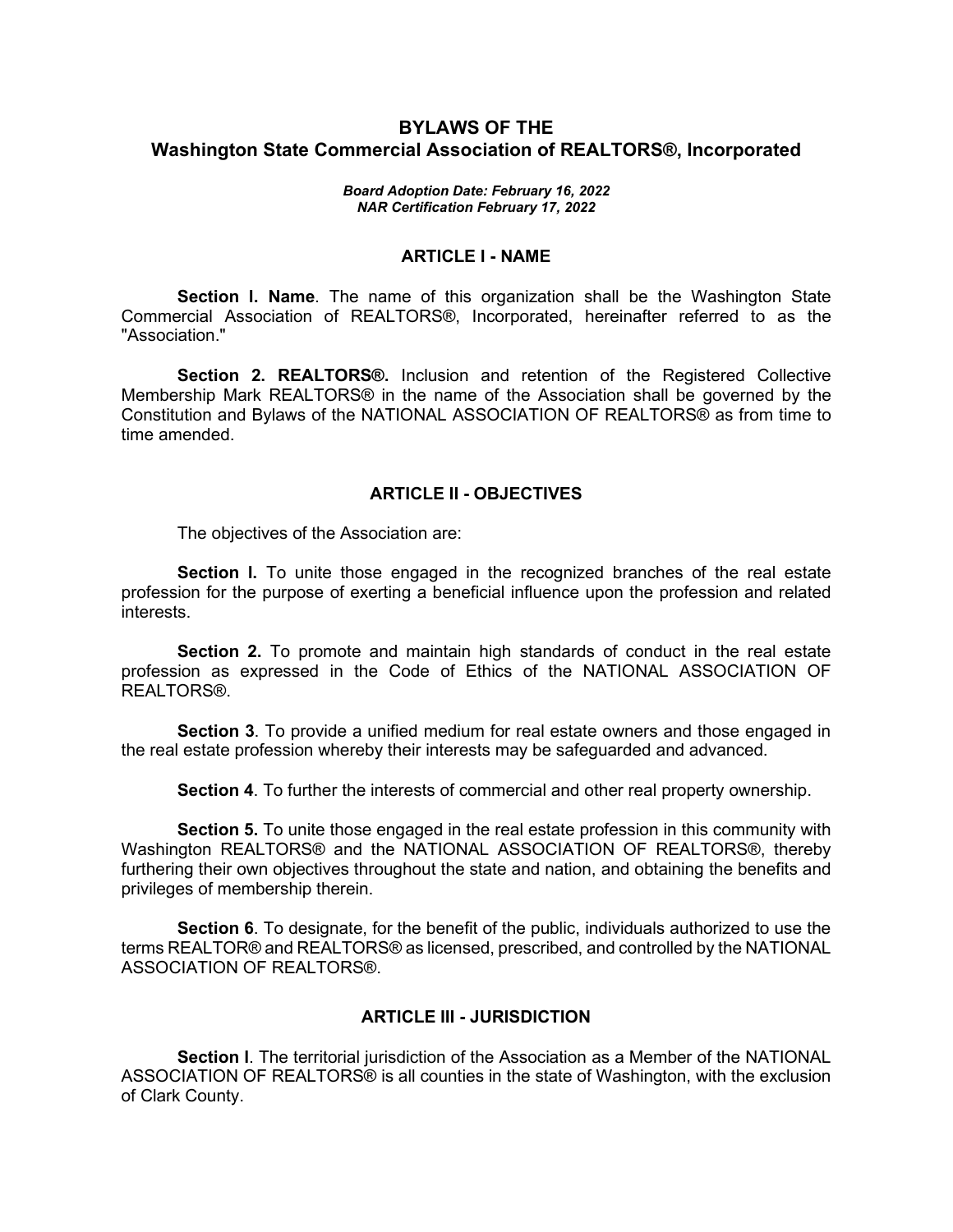# **BYLAWS OF THE Washington State Commercial Association of REALTORS®, Incorporated**

#### *Board Adoption Date: February 16, 2022 NAR Certification February 17, 2022*

### **ARTICLE I - NAME**

**Section l. Name**. The name of this organization shall be the Washington State Commercial Association of REALTORS®, Incorporated, hereinafter referred to as the "Association."

**Section 2. REALTORS®.** Inclusion and retention of the Registered Collective Membership Mark REALTORS® in the name of the Association shall be governed by the Constitution and Bylaws of the NATIONAL ASSOCIATION OF REALTORS® as from time to time amended.

#### **ARTICLE II - OBJECTIVES**

The objectives of the Association are:

**Section I.** To unite those engaged in the recognized branches of the real estate profession for the purpose of exerting a beneficial influence upon the profession and related interests.

**Section 2.** To promote and maintain high standards of conduct in the real estate profession as expressed in the Code of Ethics of the NATIONAL ASSOCIATION OF REALTORS®

**Section 3**. To provide a unified medium for real estate owners and those engaged in the real estate profession whereby their interests may be safeguarded and advanced.

**Section 4**. To further the interests of commercial and other real property ownership.

**Section 5.** To unite those engaged in the real estate profession in this community with Washington REALTORS® and the NATIONAL ASSOCIATION OF REALTORS®, thereby furthering their own objectives throughout the state and nation, and obtaining the benefits and privileges of membership therein.

**Section 6**. To designate, for the benefit of the public, individuals authorized to use the terms REALTOR® and REALTORS® as licensed, prescribed, and controlled by the NATIONAL ASSOCIATION OF REALTORS®.

### **ARTICLE III - JURISDICTION**

**Section l**. The territorial jurisdiction of the Association as a Member of the NATIONAL ASSOCIATION OF REALTORS® is all counties in the state of Washington, with the exclusion of Clark County.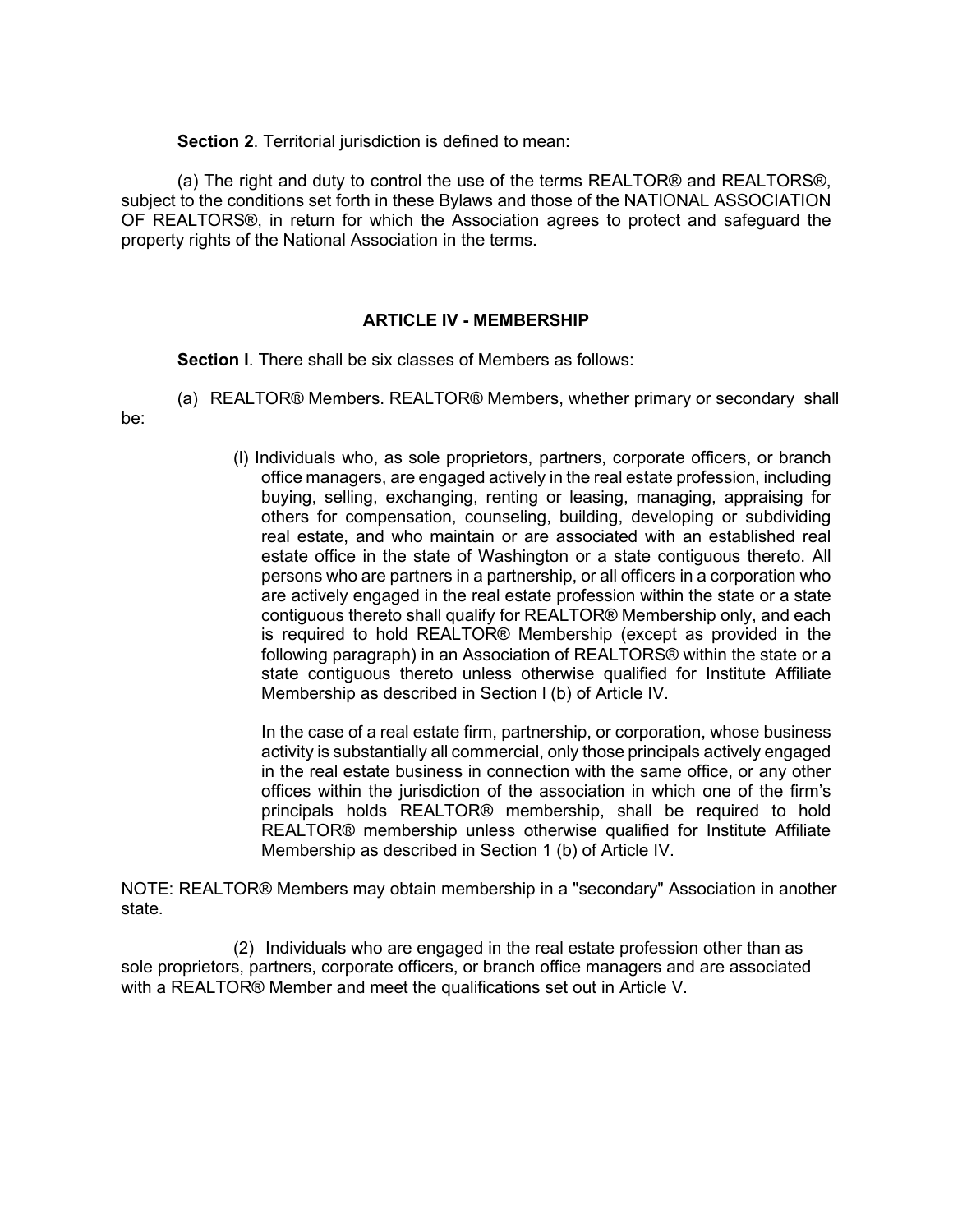**Section 2**. Territorial jurisdiction is defined to mean:

(a) The right and duty to control the use of the terms REALTOR® and REALTORS®, subject to the conditions set forth in these Bylaws and those of the NATIONAL ASSOCIATION OF REALTORS®, in return for which the Association agrees to protect and safeguard the property rights of the National Association in the terms.

### **ARTICLE IV - MEMBERSHIP**

**Section l**. There shall be six classes of Members as follows:

(a) REALTOR® Members. REALTOR® Members, whether primary or secondary shall

be:

(l) Individuals who, as sole proprietors, partners, corporate officers, or branch office managers, are engaged actively in the real estate profession, including buying, selling, exchanging, renting or leasing, managing, appraising for others for compensation, counseling, building, developing or subdividing real estate, and who maintain or are associated with an established real estate office in the state of Washington or a state contiguous thereto. All persons who are partners in a partnership, or all officers in a corporation who are actively engaged in the real estate profession within the state or a state contiguous thereto shall qualify for REALTOR® Membership only, and each is required to hold REALTOR® Membership (except as provided in the following paragraph) in an Association of REALTORS® within the state or a state contiguous thereto unless otherwise qualified for Institute Affiliate Membership as described in Section l (b) of Article IV.

In the case of a real estate firm, partnership, or corporation, whose business activity is substantially all commercial, only those principals actively engaged in the real estate business in connection with the same office, or any other offices within the jurisdiction of the association in which one of the firm's principals holds REALTOR® membership, shall be required to hold REALTOR® membership unless otherwise qualified for Institute Affiliate Membership as described in Section 1 (b) of Article IV.

NOTE: REALTOR® Members may obtain membership in a "secondary" Association in another state.

(2) Individuals who are engaged in the real estate profession other than as sole proprietors, partners, corporate officers, or branch office managers and are associated with a REALTOR® Member and meet the qualifications set out in Article V.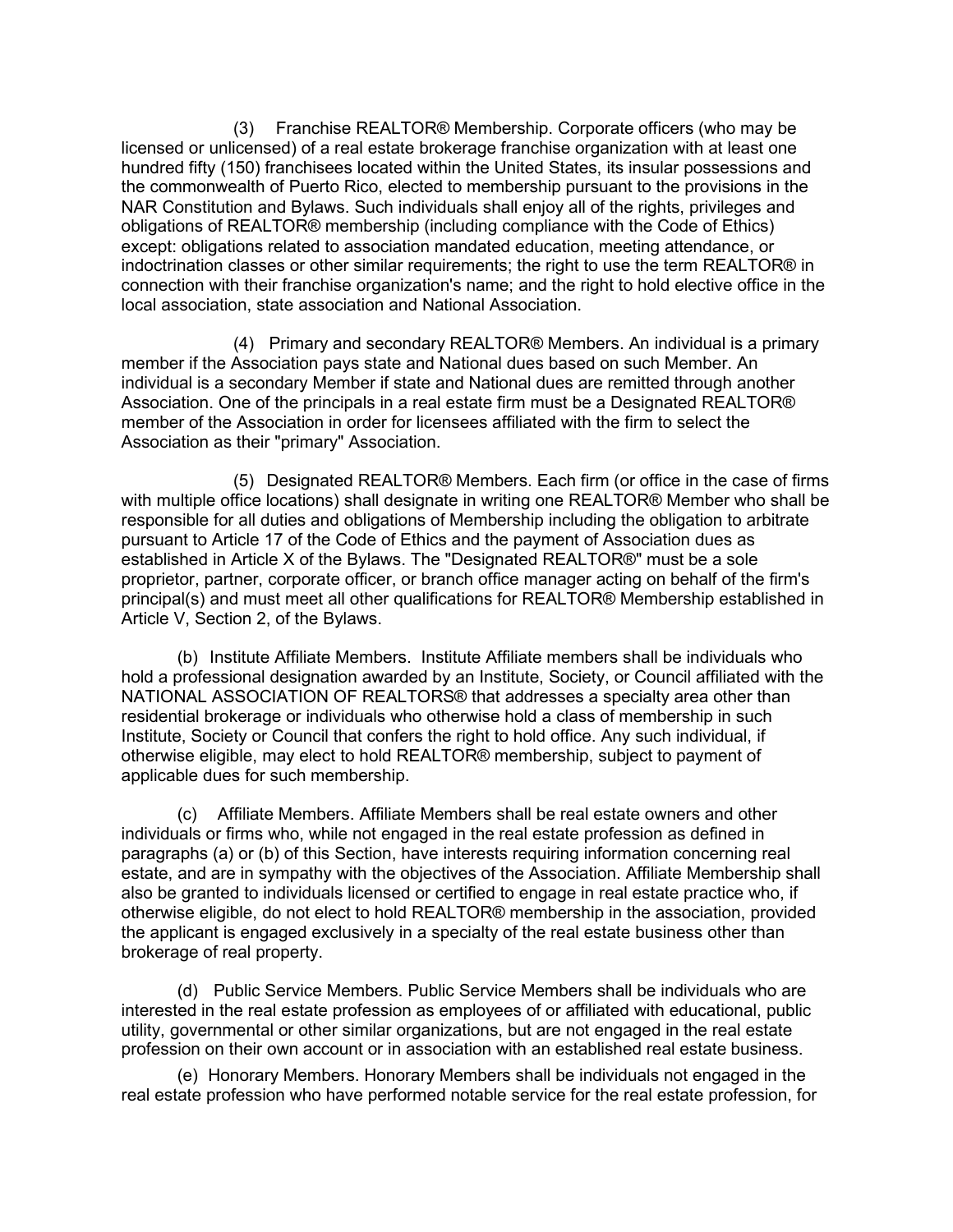(3) Franchise REALTOR® Membership. Corporate officers (who may be licensed or unlicensed) of a real estate brokerage franchise organization with at least one hundred fifty (150) franchisees located within the United States, its insular possessions and the commonwealth of Puerto Rico, elected to membership pursuant to the provisions in the NAR Constitution and Bylaws. Such individuals shall enjoy all of the rights, privileges and obligations of REALTOR® membership (including compliance with the Code of Ethics) except: obligations related to association mandated education, meeting attendance, or indoctrination classes or other similar requirements; the right to use the term REALTOR® in connection with their franchise organization's name; and the right to hold elective office in the local association, state association and National Association.

(4) Primary and secondary REALTOR® Members. An individual is a primary member if the Association pays state and National dues based on such Member. An individual is a secondary Member if state and National dues are remitted through another Association. One of the principals in a real estate firm must be a Designated REALTOR® member of the Association in order for licensees affiliated with the firm to select the Association as their "primary" Association.

(5) Designated REALTOR® Members. Each firm (or office in the case of firms with multiple office locations) shall designate in writing one REALTOR® Member who shall be responsible for all duties and obligations of Membership including the obligation to arbitrate pursuant to Article 17 of the Code of Ethics and the payment of Association dues as established in Article X of the Bylaws. The "Designated REALTOR®" must be a sole proprietor, partner, corporate officer, or branch office manager acting on behalf of the firm's principal(s) and must meet all other qualifications for REALTOR® Membership established in Article V, Section 2, of the Bylaws.

(b) Institute Affiliate Members. Institute Affiliate members shall be individuals who hold a professional designation awarded by an Institute, Society, or Council affiliated with the NATIONAL ASSOCIATION OF REALTORS® that addresses a specialty area other than residential brokerage or individuals who otherwise hold a class of membership in such Institute, Society or Council that confers the right to hold office. Any such individual, if otherwise eligible, may elect to hold REALTOR® membership, subject to payment of applicable dues for such membership.

(c) Affiliate Members. Affiliate Members shall be real estate owners and other individuals or firms who, while not engaged in the real estate profession as defined in paragraphs (a) or (b) of this Section, have interests requiring information concerning real estate, and are in sympathy with the objectives of the Association. Affiliate Membership shall also be granted to individuals licensed or certified to engage in real estate practice who, if otherwise eligible, do not elect to hold REALTOR® membership in the association, provided the applicant is engaged exclusively in a specialty of the real estate business other than brokerage of real property.

(d) Public Service Members. Public Service Members shall be individuals who are interested in the real estate profession as employees of or affiliated with educational, public utility, governmental or other similar organizations, but are not engaged in the real estate profession on their own account or in association with an established real estate business.

(e) Honorary Members. Honorary Members shall be individuals not engaged in the real estate profession who have performed notable service for the real estate profession, for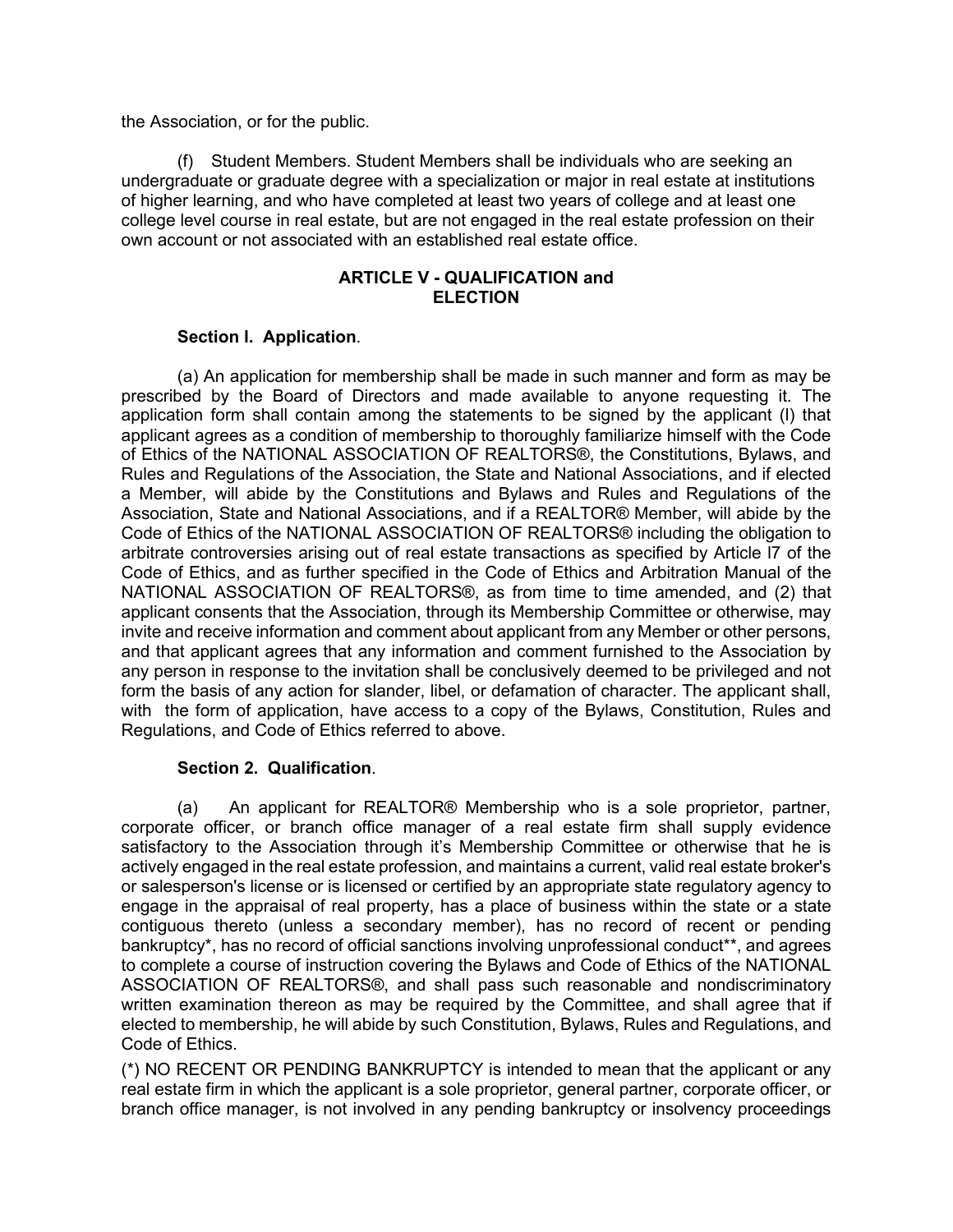the Association, or for the public.

(f) Student Members. Student Members shall be individuals who are seeking an undergraduate or graduate degree with a specialization or major in real estate at institutions of higher learning, and who have completed at least two years of college and at least one college level course in real estate, but are not engaged in the real estate profession on their own account or not associated with an established real estate office.

## **ARTICLE V - QUALIFICATION and ELECTION**

## **Section l. Application**.

(a) An application for membership shall be made in such manner and form as may be prescribed by the Board of Directors and made available to anyone requesting it. The application form shall contain among the statements to be signed by the applicant (l) that applicant agrees as a condition of membership to thoroughly familiarize himself with the Code of Ethics of the NATIONAL ASSOCIATION OF REALTORS®, the Constitutions, Bylaws, and Rules and Regulations of the Association, the State and National Associations, and if elected a Member, will abide by the Constitutions and Bylaws and Rules and Regulations of the Association, State and National Associations, and if a REALTOR® Member, will abide by the Code of Ethics of the NATIONAL ASSOCIATION OF REALTORS® including the obligation to arbitrate controversies arising out of real estate transactions as specified by Article l7 of the Code of Ethics, and as further specified in the Code of Ethics and Arbitration Manual of the NATIONAL ASSOCIATION OF REALTORS®, as from time to time amended, and (2) that applicant consents that the Association, through its Membership Committee or otherwise, may invite and receive information and comment about applicant from any Member or other persons, and that applicant agrees that any information and comment furnished to the Association by any person in response to the invitation shall be conclusively deemed to be privileged and not form the basis of any action for slander, libel, or defamation of character. The applicant shall, with the form of application, have access to a copy of the Bylaws, Constitution, Rules and Regulations, and Code of Ethics referred to above.

### **Section 2. Qualification**.

(a) An applicant for REALTOR® Membership who is a sole proprietor, partner, corporate officer, or branch office manager of a real estate firm shall supply evidence satisfactory to the Association through it's Membership Committee or otherwise that he is actively engaged in the real estate profession, and maintains a current, valid real estate broker's or salesperson's license or is licensed or certified by an appropriate state regulatory agency to engage in the appraisal of real property, has a place of business within the state or a state contiguous thereto (unless a secondary member), has no record of recent or pending bankruptcy\*, has no record of official sanctions involving unprofessional conduct\*\*, and agrees to complete a course of instruction covering the Bylaws and Code of Ethics of the NATIONAL ASSOCIATION OF REALTORS®, and shall pass such reasonable and nondiscriminatory written examination thereon as may be required by the Committee, and shall agree that if elected to membership, he will abide by such Constitution, Bylaws, Rules and Regulations, and Code of Ethics.

(\*) NO RECENT OR PENDING BANKRUPTCY is intended to mean that the applicant or any real estate firm in which the applicant is a sole proprietor, general partner, corporate officer, or branch office manager, is not involved in any pending bankruptcy or insolvency proceedings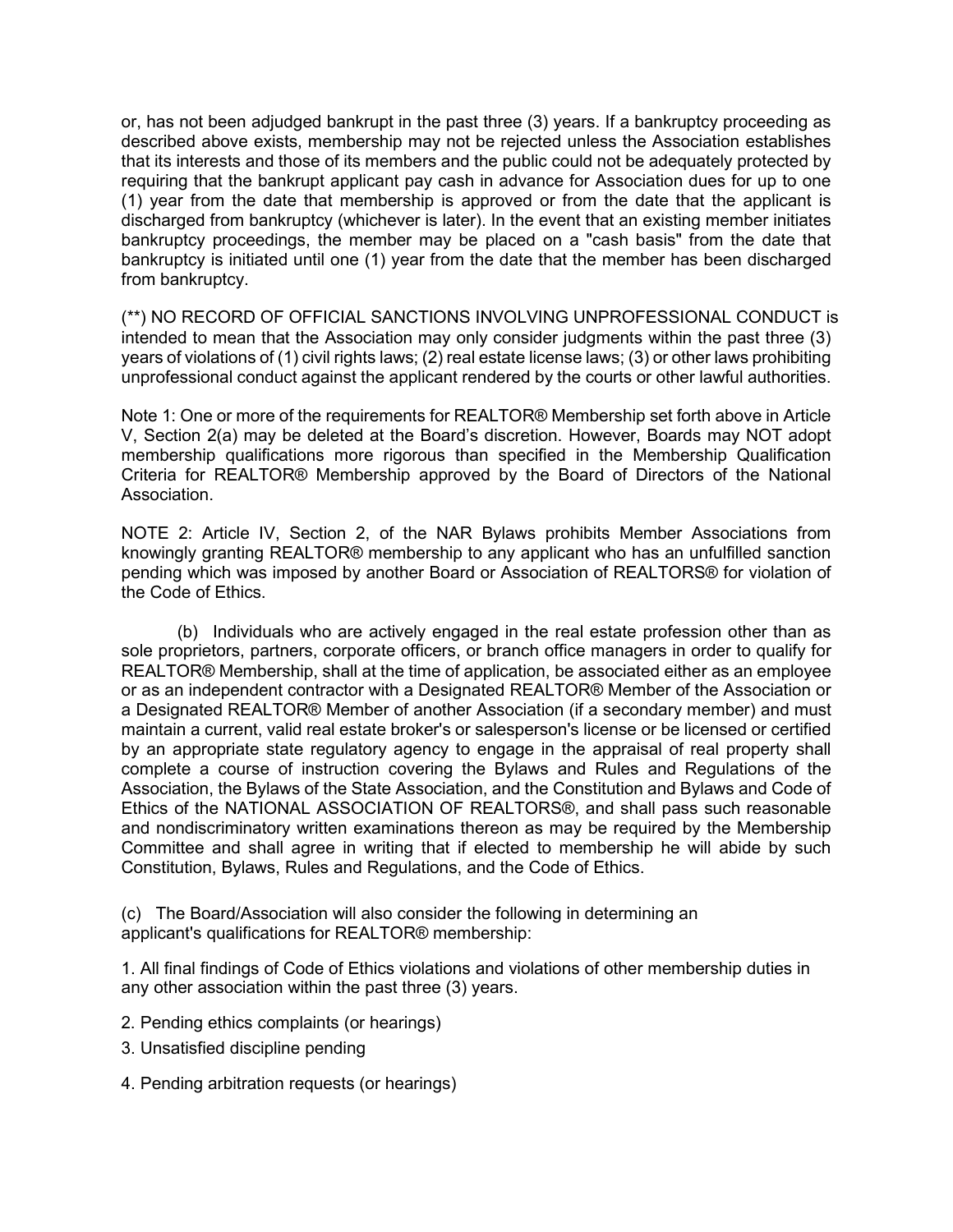or, has not been adjudged bankrupt in the past three (3) years. If a bankruptcy proceeding as described above exists, membership may not be rejected unless the Association establishes that its interests and those of its members and the public could not be adequately protected by requiring that the bankrupt applicant pay cash in advance for Association dues for up to one (1) year from the date that membership is approved or from the date that the applicant is discharged from bankruptcy (whichever is later). In the event that an existing member initiates bankruptcy proceedings, the member may be placed on a "cash basis" from the date that bankruptcy is initiated until one (1) year from the date that the member has been discharged from bankruptcy.

(\*\*) NO RECORD OF OFFICIAL SANCTIONS INVOLVING UNPROFESSIONAL CONDUCT is intended to mean that the Association may only consider judgments within the past three (3) years of violations of (1) civil rights laws; (2) real estate license laws; (3) or other laws prohibiting unprofessional conduct against the applicant rendered by the courts or other lawful authorities.

Note 1: One or more of the requirements for REALTOR® Membership set forth above in Article V, Section 2(a) may be deleted at the Board's discretion. However, Boards may NOT adopt membership qualifications more rigorous than specified in the Membership Qualification Criteria for REALTOR® Membership approved by the Board of Directors of the National Association.

NOTE 2: Article IV, Section 2, of the NAR Bylaws prohibits Member Associations from knowingly granting REALTOR® membership to any applicant who has an unfulfilled sanction pending which was imposed by another Board or Association of REALTORS® for violation of the Code of Ethics.

(b) Individuals who are actively engaged in the real estate profession other than as sole proprietors, partners, corporate officers, or branch office managers in order to qualify for REALTOR® Membership, shall at the time of application, be associated either as an employee or as an independent contractor with a Designated REALTOR® Member of the Association or a Designated REALTOR® Member of another Association (if a secondary member) and must maintain a current, valid real estate broker's or salesperson's license or be licensed or certified by an appropriate state regulatory agency to engage in the appraisal of real property shall complete a course of instruction covering the Bylaws and Rules and Regulations of the Association, the Bylaws of the State Association, and the Constitution and Bylaws and Code of Ethics of the NATIONAL ASSOCIATION OF REALTORS®, and shall pass such reasonable and nondiscriminatory written examinations thereon as may be required by the Membership Committee and shall agree in writing that if elected to membership he will abide by such Constitution, Bylaws, Rules and Regulations, and the Code of Ethics.

(c) The Board/Association will also consider the following in determining an applicant's qualifications for REALTOR® membership:

1. All final findings of Code of Ethics violations and violations of other membership duties in any other association within the past three (3) years.

- 2. Pending ethics complaints (or hearings)
- 3. Unsatisfied discipline pending
- 4. Pending arbitration requests (or hearings)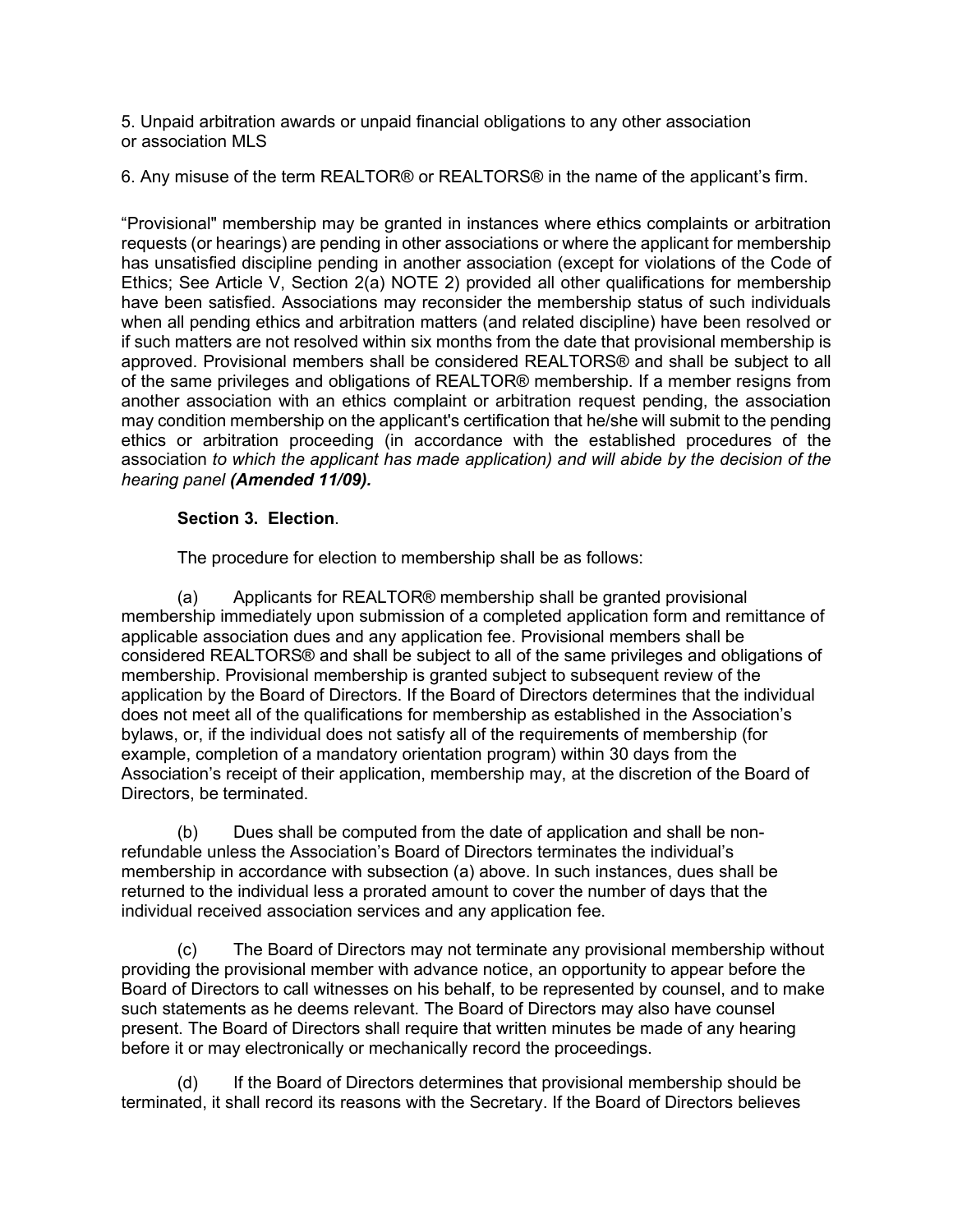5. Unpaid arbitration awards or unpaid financial obligations to any other association or association MLS

6. Any misuse of the term REALTOR® or REALTORS® in the name of the applicant's firm.

"Provisional" membership may be granted in instances where ethics complaints or arbitration requests (or hearings) are pending in other associations or where the applicant for membership has unsatisfied discipline pending in another association (except for violations of the Code of Ethics; See Article V, Section 2(a) NOTE 2) provided all other qualifications for membership have been satisfied. Associations may reconsider the membership status of such individuals when all pending ethics and arbitration matters (and related discipline) have been resolved or if such matters are not resolved within six months from the date that provisional membership is approved. Provisional members shall be considered REALTORS® and shall be subject to all of the same privileges and obligations of REALTOR® membership. If a member resigns from another association with an ethics complaint or arbitration request pending, the association may condition membership on the applicant's certification that he/she will submit to the pending ethics or arbitration proceeding (in accordance with the established procedures of the association *to which the applicant has made application) and will abide by the decision of the hearing panel (Amended 11/09).*

# **Section 3. Election**.

The procedure for election to membership shall be as follows:

(a) Applicants for REALTOR® membership shall be granted provisional membership immediately upon submission of a completed application form and remittance of applicable association dues and any application fee. Provisional members shall be considered REALTORS® and shall be subject to all of the same privileges and obligations of membership. Provisional membership is granted subject to subsequent review of the application by the Board of Directors. If the Board of Directors determines that the individual does not meet all of the qualifications for membership as established in the Association's bylaws, or, if the individual does not satisfy all of the requirements of membership (for example, completion of a mandatory orientation program) within 30 days from the Association's receipt of their application, membership may, at the discretion of the Board of Directors, be terminated.

(b) Dues shall be computed from the date of application and shall be nonrefundable unless the Association's Board of Directors terminates the individual's membership in accordance with subsection (a) above. In such instances, dues shall be returned to the individual less a prorated amount to cover the number of days that the individual received association services and any application fee.

(c) The Board of Directors may not terminate any provisional membership without providing the provisional member with advance notice, an opportunity to appear before the Board of Directors to call witnesses on his behalf, to be represented by counsel, and to make such statements as he deems relevant. The Board of Directors may also have counsel present. The Board of Directors shall require that written minutes be made of any hearing before it or may electronically or mechanically record the proceedings.

(d) If the Board of Directors determines that provisional membership should be terminated, it shall record its reasons with the Secretary. If the Board of Directors believes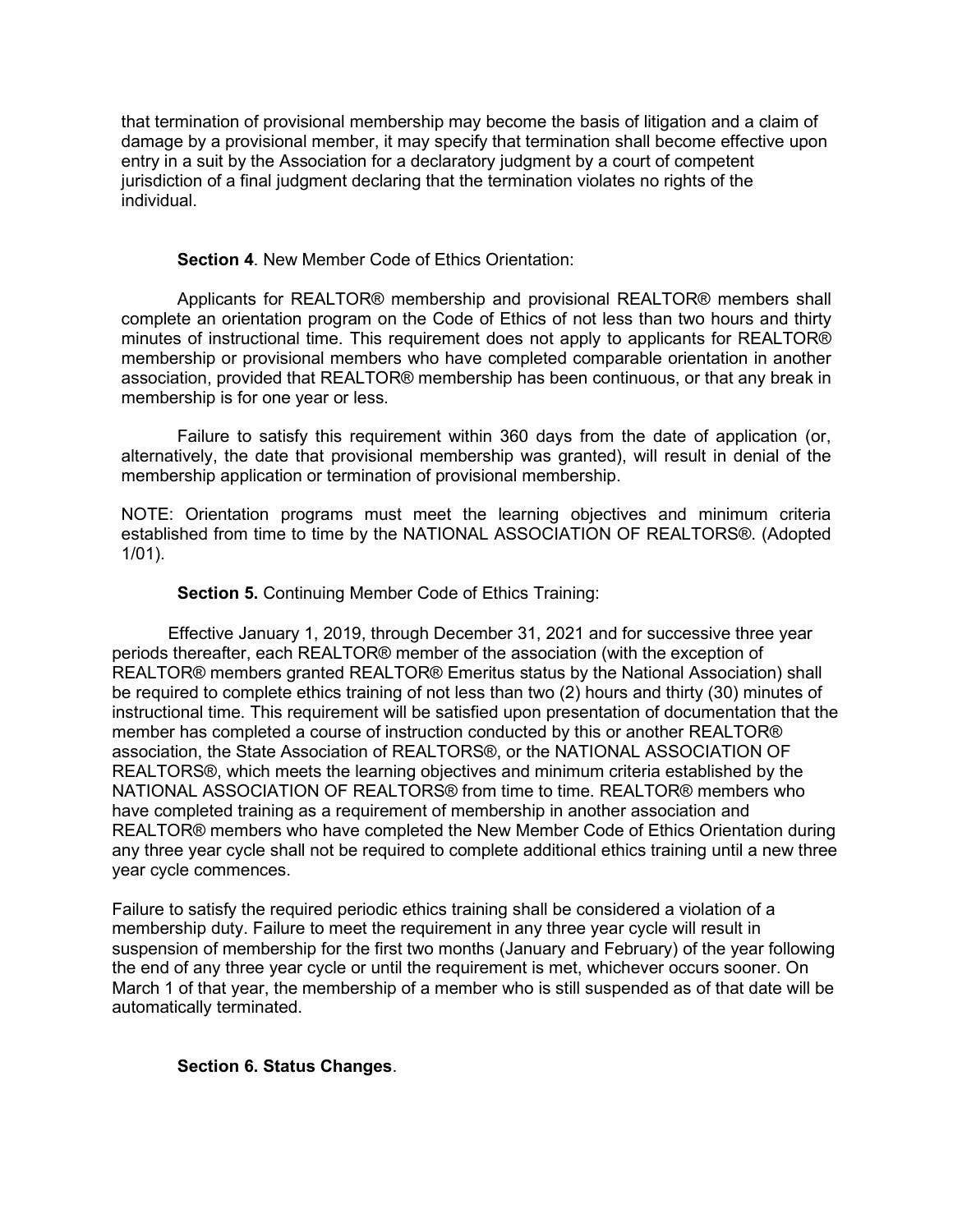that termination of provisional membership may become the basis of litigation and a claim of damage by a provisional member, it may specify that termination shall become effective upon entry in a suit by the Association for a declaratory judgment by a court of competent jurisdiction of a final judgment declaring that the termination violates no rights of the individual.

### **Section 4**. New Member Code of Ethics Orientation:

Applicants for REALTOR® membership and provisional REALTOR® members shall complete an orientation program on the Code of Ethics of not less than two hours and thirty minutes of instructional time. This requirement does not apply to applicants for REALTOR® membership or provisional members who have completed comparable orientation in another association, provided that REALTOR® membership has been continuous, or that any break in membership is for one year or less.

Failure to satisfy this requirement within 360 days from the date of application (or, alternatively, the date that provisional membership was granted), will result in denial of the membership application or termination of provisional membership.

NOTE: Orientation programs must meet the learning objectives and minimum criteria established from time to time by the NATIONAL ASSOCIATION OF REALTORS®. (Adopted 1/01).

## **Section 5. Continuing Member Code of Ethics Training:**

Effective January 1, 2019, through December 31, 2021 and for successive three year periods thereafter, each REALTOR® member of the association (with the exception of REALTOR® members granted REALTOR® Emeritus status by the National Association) shall be required to complete ethics training of not less than two (2) hours and thirty (30) minutes of instructional time. This requirement will be satisfied upon presentation of documentation that the member has completed a course of instruction conducted by this or another REALTOR® association, the State Association of REALTORS®, or the NATIONAL ASSOCIATION OF REALTORS®, which meets the learning objectives and minimum criteria established by the NATIONAL ASSOCIATION OF REALTORS® from time to time. REALTOR® members who have completed training as a requirement of membership in another association and REALTOR® members who have completed the New Member Code of Ethics Orientation during any three year cycle shall not be required to complete additional ethics training until a new three year cycle commences.

Failure to satisfy the required periodic ethics training shall be considered a violation of a membership duty. Failure to meet the requirement in any three year cycle will result in suspension of membership for the first two months (January and February) of the year following the end of any three year cycle or until the requirement is met, whichever occurs sooner. On March 1 of that year, the membership of a member who is still suspended as of that date will be automatically terminated.

### **Section 6. Status Changes**.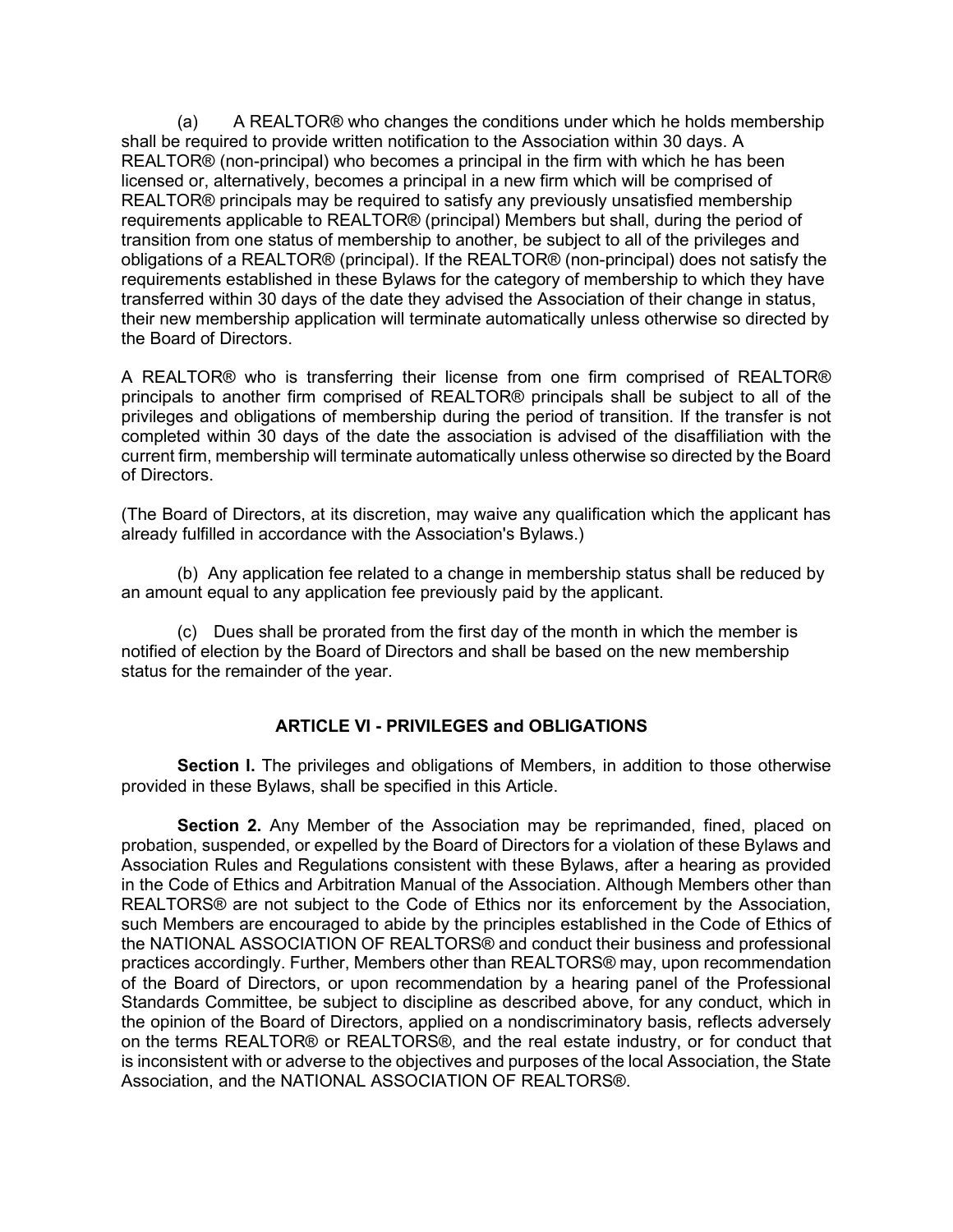(a) A REALTOR® who changes the conditions under which he holds membership shall be required to provide written notification to the Association within 30 days. A REALTOR® (non-principal) who becomes a principal in the firm with which he has been licensed or, alternatively, becomes a principal in a new firm which will be comprised of REALTOR® principals may be required to satisfy any previously unsatisfied membership requirements applicable to REALTOR® (principal) Members but shall, during the period of transition from one status of membership to another, be subject to all of the privileges and obligations of a REALTOR® (principal). If the REALTOR® (non-principal) does not satisfy the requirements established in these Bylaws for the category of membership to which they have transferred within 30 days of the date they advised the Association of their change in status, their new membership application will terminate automatically unless otherwise so directed by the Board of Directors.

A REALTOR® who is transferring their license from one firm comprised of REALTOR® principals to another firm comprised of REALTOR® principals shall be subject to all of the privileges and obligations of membership during the period of transition. If the transfer is not completed within 30 days of the date the association is advised of the disaffiliation with the current firm, membership will terminate automatically unless otherwise so directed by the Board of Directors.

(The Board of Directors, at its discretion, may waive any qualification which the applicant has already fulfilled in accordance with the Association's Bylaws.)

(b) Any application fee related to a change in membership status shall be reduced by an amount equal to any application fee previously paid by the applicant.

(c) Dues shall be prorated from the first day of the month in which the member is notified of election by the Board of Directors and shall be based on the new membership status for the remainder of the year.

# **ARTICLE VI - PRIVILEGES and OBLIGATIONS**

**Section I.** The privileges and obligations of Members, in addition to those otherwise provided in these Bylaws, shall be specified in this Article.

**Section 2.** Any Member of the Association may be reprimanded, fined, placed on probation, suspended, or expelled by the Board of Directors for a violation of these Bylaws and Association Rules and Regulations consistent with these Bylaws, after a hearing as provided in the Code of Ethics and Arbitration Manual of the Association. Although Members other than REALTORS® are not subject to the Code of Ethics nor its enforcement by the Association, such Members are encouraged to abide by the principles established in the Code of Ethics of the NATIONAL ASSOCIATION OF REALTORS® and conduct their business and professional practices accordingly. Further, Members other than REALTORS® may, upon recommendation of the Board of Directors, or upon recommendation by a hearing panel of the Professional Standards Committee, be subject to discipline as described above, for any conduct, which in the opinion of the Board of Directors, applied on a nondiscriminatory basis, reflects adversely on the terms REALTOR® or REALTORS®, and the real estate industry, or for conduct that is inconsistent with or adverse to the objectives and purposes of the local Association, the State Association, and the NATIONAL ASSOCIATION OF REALTORS®.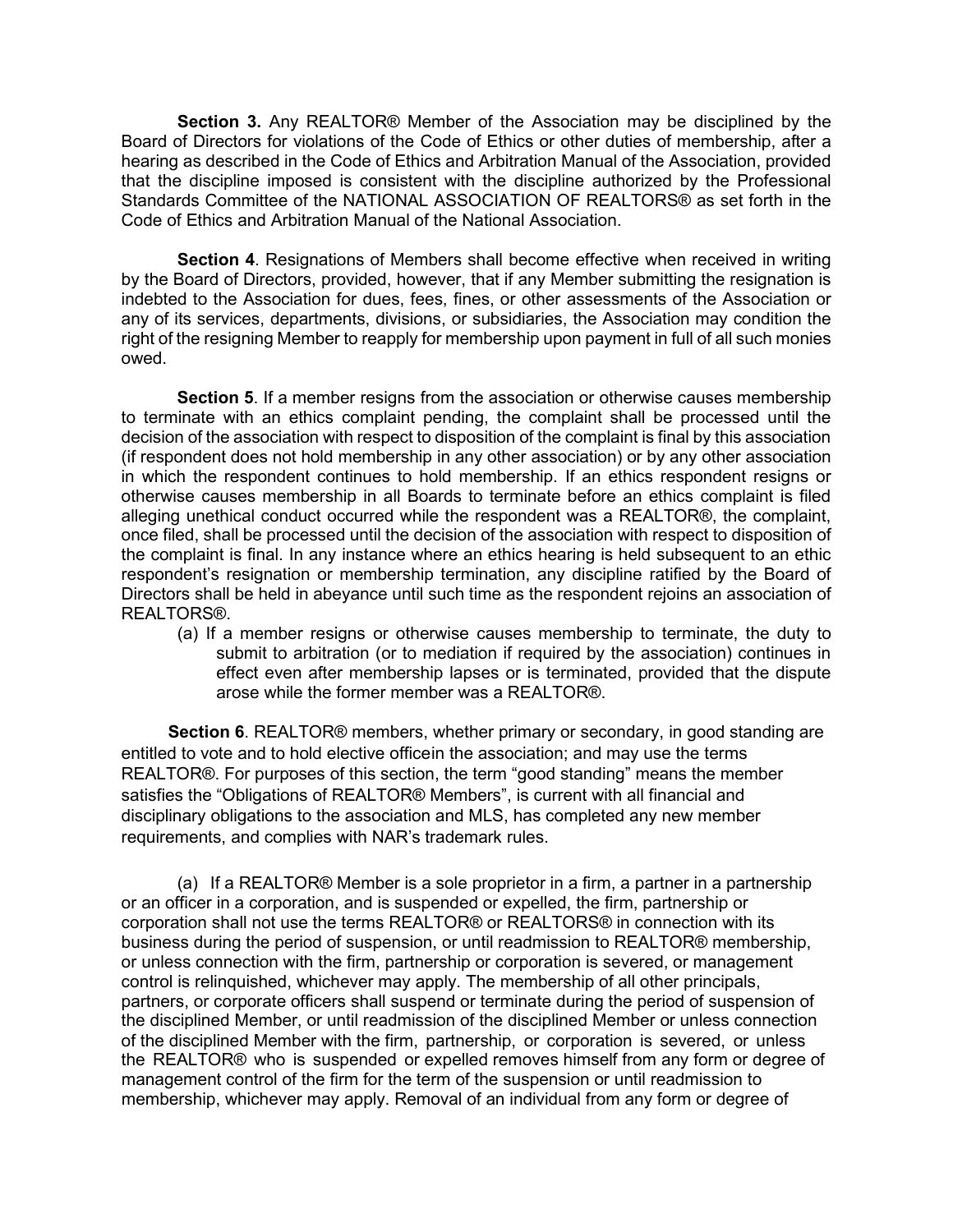**Section 3.** Any REALTOR® Member of the Association may be disciplined by the Board of Directors for violations of the Code of Ethics or other duties of membership, after a hearing as described in the Code of Ethics and Arbitration Manual of the Association, provided that the discipline imposed is consistent with the discipline authorized by the Professional Standards Committee of the NATIONAL ASSOCIATION OF REALTORS® as set forth in the Code of Ethics and Arbitration Manual of the National Association.

**Section 4**. Resignations of Members shall become effective when received in writing by the Board of Directors, provided, however, that if any Member submitting the resignation is indebted to the Association for dues, fees, fines, or other assessments of the Association or any of its services, departments, divisions, or subsidiaries, the Association may condition the right of the resigning Member to reapply for membership upon payment in full of all such monies owed.

**Section 5**. If a member resigns from the association or otherwise causes membership to terminate with an ethics complaint pending, the complaint shall be processed until the decision of the association with respect to disposition of the complaint is final by this association (if respondent does not hold membership in any other association) or by any other association in which the respondent continues to hold membership. If an ethics respondent resigns or otherwise causes membership in all Boards to terminate before an ethics complaint is filed alleging unethical conduct occurred while the respondent was a REALTOR®, the complaint, once filed, shall be processed until the decision of the association with respect to disposition of the complaint is final. In any instance where an ethics hearing is held subsequent to an ethic respondent's resignation or membership termination, any discipline ratified by the Board of Directors shall be held in abeyance until such time as the respondent rejoins an association of REALTORS®.

(a) If a member resigns or otherwise causes membership to terminate, the duty to submit to arbitration (or to mediation if required by the association) continues in effect even after membership lapses or is terminated, provided that the dispute arose while the former member was a REALTOR®.

**Section 6**. REALTOR® members, whether primary or secondary, in good standing are entitled to vote and to hold elective officein the association; and may use the terms REALTOR®. For purposes of this section, the term "good standing" means the member satisfies the "Obligations of REALTOR® Members", is current with all financial and disciplinary obligations to the association and MLS, has completed any new member requirements, and complies with NAR's trademark rules.

(a) If a REALTOR® Member is a sole proprietor in a firm, a partner in a partnership or an officer in a corporation, and is suspended or expelled, the firm, partnership or corporation shall not use the terms REALTOR® or REALTORS® in connection with its business during the period of suspension, or until readmission to REALTOR® membership, or unless connection with the firm, partnership or corporation is severed, or management control is relinquished, whichever may apply. The membership of all other principals, partners, or corporate officers shall suspend or terminate during the period of suspension of the disciplined Member, or until readmission of the disciplined Member or unless connection of the disciplined Member with the firm, partnership, or corporation is severed, or unless the REALTOR® who is suspended or expelled removes himself from any form or degree of management control of the firm for the term of the suspension or until readmission to membership, whichever may apply. Removal of an individual from any form or degree of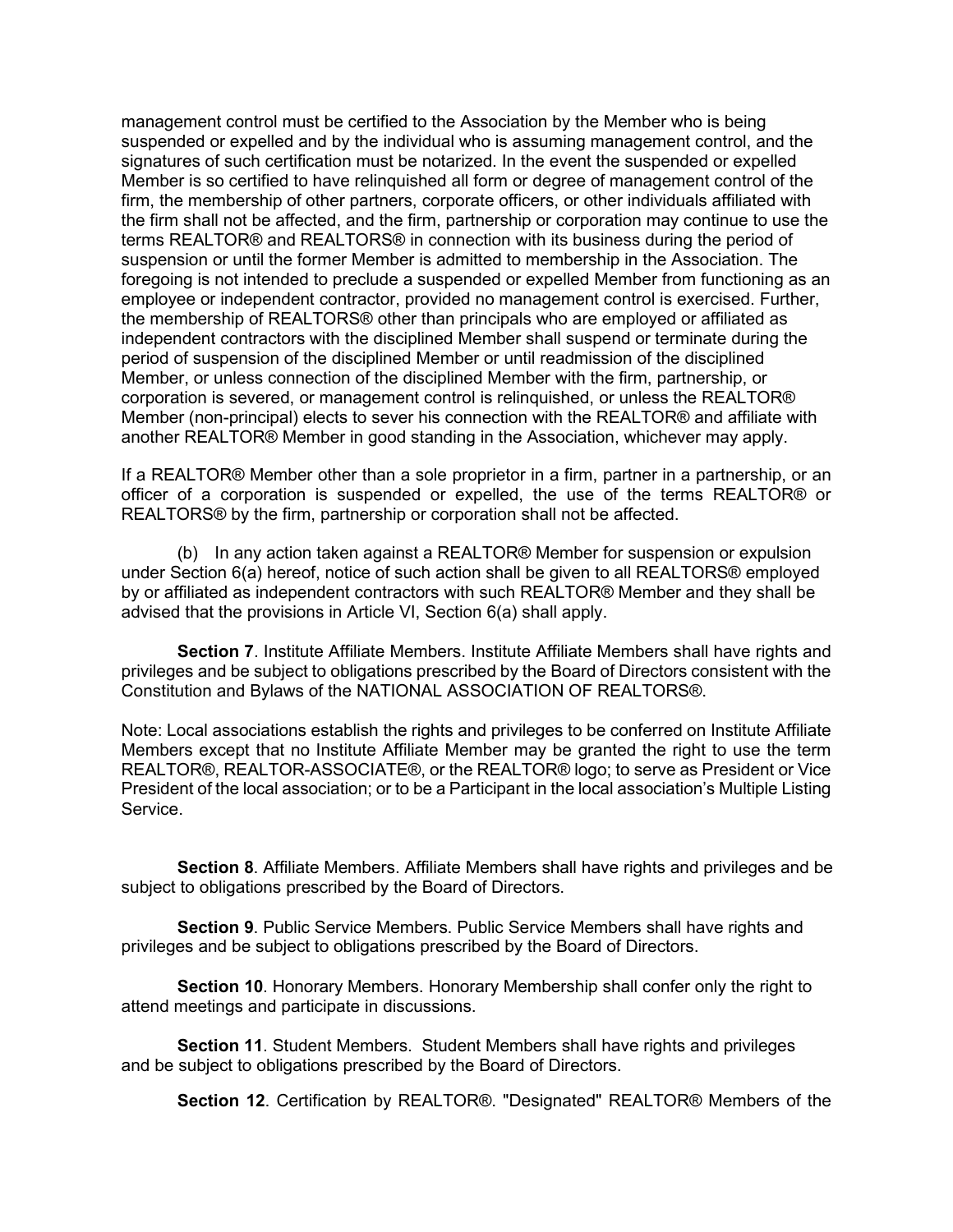management control must be certified to the Association by the Member who is being suspended or expelled and by the individual who is assuming management control, and the signatures of such certification must be notarized. In the event the suspended or expelled Member is so certified to have relinquished all form or degree of management control of the firm, the membership of other partners, corporate officers, or other individuals affiliated with the firm shall not be affected, and the firm, partnership or corporation may continue to use the terms REALTOR® and REALTORS® in connection with its business during the period of suspension or until the former Member is admitted to membership in the Association. The foregoing is not intended to preclude a suspended or expelled Member from functioning as an employee or independent contractor, provided no management control is exercised. Further, the membership of REALTORS® other than principals who are employed or affiliated as independent contractors with the disciplined Member shall suspend or terminate during the period of suspension of the disciplined Member or until readmission of the disciplined Member, or unless connection of the disciplined Member with the firm, partnership, or corporation is severed, or management control is relinquished, or unless the REALTOR® Member (non-principal) elects to sever his connection with the REALTOR® and affiliate with another REALTOR® Member in good standing in the Association, whichever may apply.

If a REALTOR® Member other than a sole proprietor in a firm, partner in a partnership, or an officer of a corporation is suspended or expelled, the use of the terms REALTOR® or REALTORS® by the firm, partnership or corporation shall not be affected.

(b) In any action taken against a REALTOR® Member for suspension or expulsion under Section 6(a) hereof, notice of such action shall be given to all REALTORS® employed by or affiliated as independent contractors with such REALTOR® Member and they shall be advised that the provisions in Article VI, Section 6(a) shall apply.

**Section 7**. Institute Affiliate Members. Institute Affiliate Members shall have rights and privileges and be subject to obligations prescribed by the Board of Directors consistent with the Constitution and Bylaws of the NATIONAL ASSOCIATION OF REALTORS®.

Note: Local associations establish the rights and privileges to be conferred on Institute Affiliate Members except that no Institute Affiliate Member may be granted the right to use the term REALTOR®, REALTOR-ASSOCIATE®, or the REALTOR® logo; to serve as President or Vice President of the local association; or to be a Participant in the local association's Multiple Listing **Service** 

**Section 8**. Affiliate Members. Affiliate Members shall have rights and privileges and be subject to obligations prescribed by the Board of Directors.

**Section 9**. Public Service Members. Public Service Members shall have rights and privileges and be subject to obligations prescribed by the Board of Directors.

**Section 10**. Honorary Members. Honorary Membership shall confer only the right to attend meetings and participate in discussions.

**Section 11**. Student Members. Student Members shall have rights and privileges and be subject to obligations prescribed by the Board of Directors.

**Section 12**. Certification by REALTOR®. "Designated" REALTOR® Members of the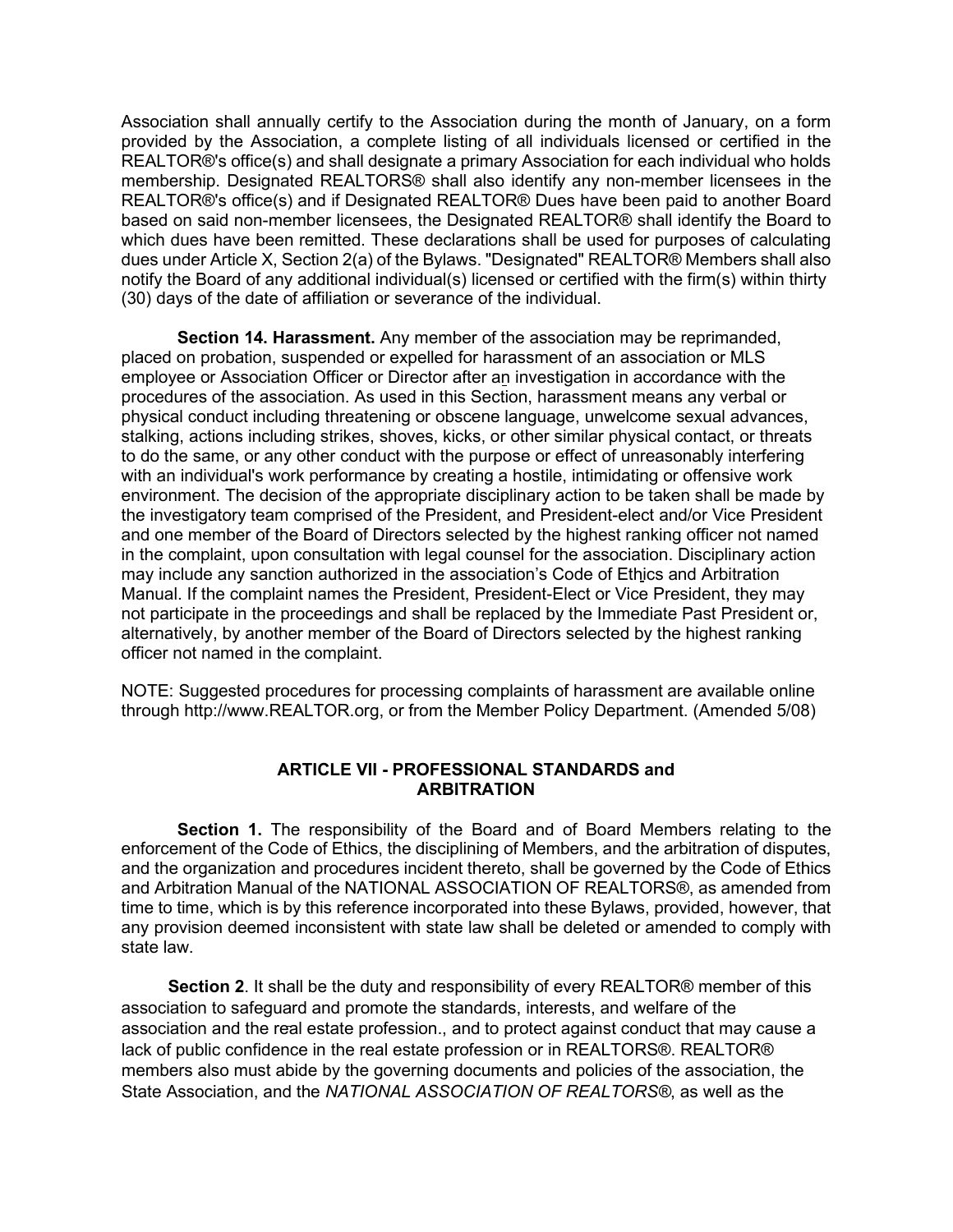Association shall annually certify to the Association during the month of January, on a form provided by the Association, a complete listing of all individuals licensed or certified in the REALTOR®'s office(s) and shall designate a primary Association for each individual who holds membership. Designated REALTORS® shall also identify any non-member licensees in the REALTOR®'s office(s) and if Designated REALTOR® Dues have been paid to another Board based on said non-member licensees, the Designated REALTOR® shall identify the Board to which dues have been remitted. These declarations shall be used for purposes of calculating dues under Article X, Section 2(a) of the Bylaws. "Designated" REALTOR® Members shall also notify the Board of any additional individual(s) licensed or certified with the firm(s) within thirty (30) days of the date of affiliation or severance of the individual.

**Section 14. Harassment.** Any member of the association may be reprimanded, placed on probation, suspended or expelled for harassment of an association or MLS employee or Association Officer or Director after an investigation in accordance with the procedures of the association. As used in this Section, harassment means any verbal or physical conduct including threatening or obscene language, unwelcome sexual advances, stalking, actions including strikes, shoves, kicks, or other similar physical contact, or threats to do the same, or any other conduct with the purpose or effect of unreasonably interfering with an individual's work performance by creating a hostile, intimidating or offensive work environment. The decision of the appropriate disciplinary action to be taken shall be made by the investigatory team comprised of the President, and President-elect and/or Vice President and one member of the Board of Directors selected by the highest ranking officer not named in the complaint, upon consultation with legal counsel for the association. Disciplinary action may include any sanction authorized in the association's Code of Ethics and Arbitration Manual. If the complaint names the President, President-Elect or Vice President, they may not participate in the proceedings and shall be replaced by the Immediate Past President or, alternatively, by another member of the Board of Directors selected by the highest ranking officer not named in the complaint.

NOTE: Suggested procedures for processing complaints of harassment are available online through [http://www.REALTOR.org, o](http://www.realtor.org/)r from the Member Policy Department. (Amended 5/08)

### **ARTICLE VII - PROFESSIONAL STANDARDS and ARBITRATION**

**Section 1.** The responsibility of the Board and of Board Members relating to the enforcement of the Code of Ethics, the disciplining of Members, and the arbitration of disputes, and the organization and procedures incident thereto, shall be governed by the Code of Ethics and Arbitration Manual of the NATIONAL ASSOCIATION OF REALTORS®, as amended from time to time, which is by this reference incorporated into these Bylaws, provided, however, that any provision deemed inconsistent with state law shall be deleted or amended to comply with state law.

**Section 2**. It shall be the duty and responsibility of every REALTOR® member of this association to safeguard and promote the standards, interests, and welfare of the association and the real estate profession., and to protect against conduct that may cause a lack of public confidence in the real estate profession or in REALTORS®. REALTOR® members also must abide by the governing documents and policies of the association, the State Association, and the *NATIONAL ASSOCIATION OF REALTORS®*, as well as the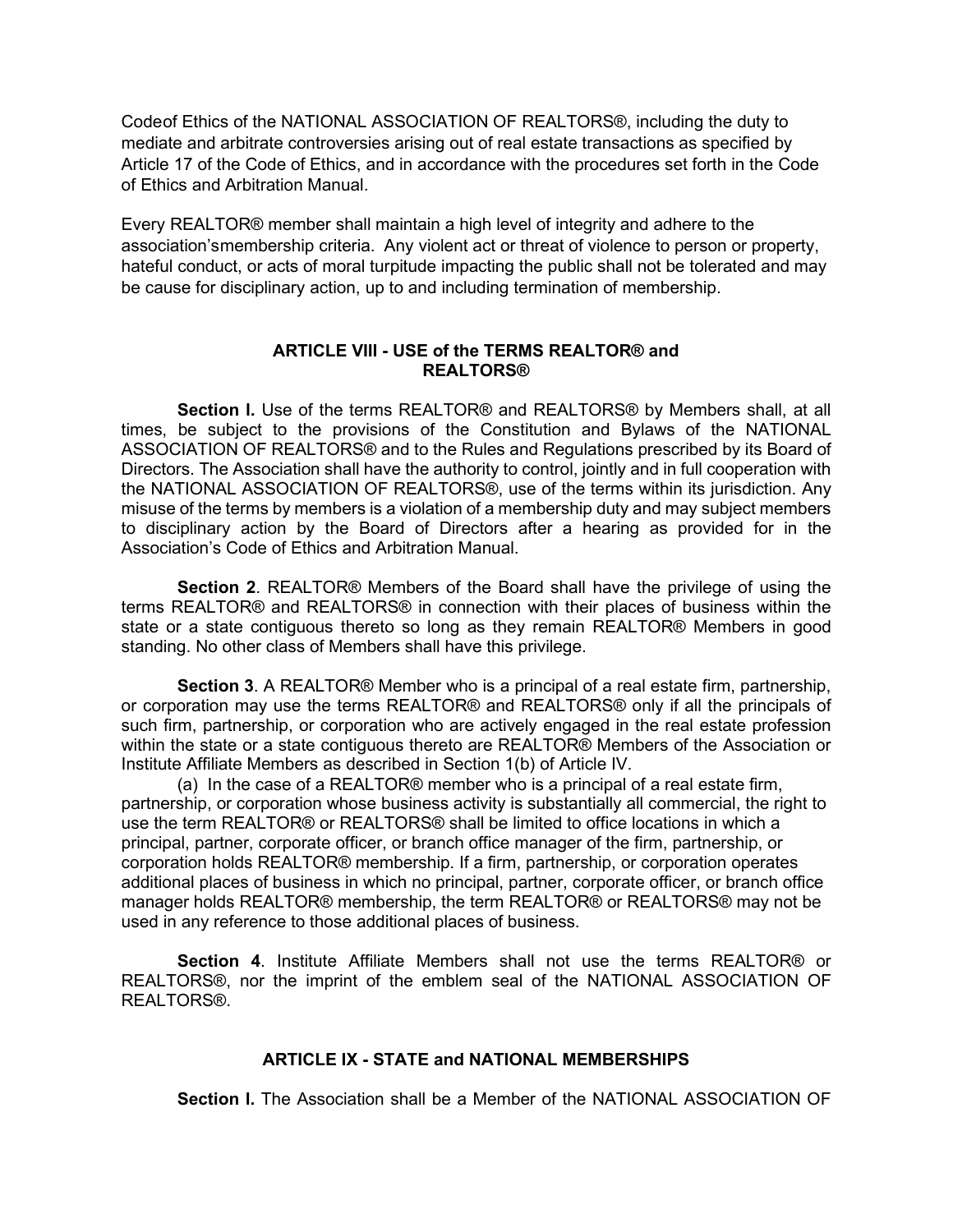Codeof Ethics of the NATIONAL ASSOCIATION OF REALTORS®, including the duty to mediate and arbitrate controversies arising out of real estate transactions as specified by Article 17 of the Code of Ethics, and in accordance with the procedures set forth in the Code of Ethics and Arbitration Manual.

Every REALTOR® member shall maintain a high level of integrity and adhere to the association'smembership criteria. Any violent act or threat of violence to person or property, hateful conduct, or acts of moral turpitude impacting the public shall not be tolerated and may be cause for disciplinary action, up to and including termination of membership.

### **ARTICLE VIII - USE of the TERMS REALTOR® and REALTORS®**

**Section l.** Use of the terms REALTOR® and REALTORS® by Members shall, at all times, be subject to the provisions of the Constitution and Bylaws of the NATIONAL ASSOCIATION OF REALTORS® and to the Rules and Regulations prescribed by its Board of Directors. The Association shall have the authority to control, jointly and in full cooperation with the NATIONAL ASSOCIATION OF REALTORS®, use of the terms within its jurisdiction. Any misuse of the terms by members is a violation of a membership duty and may subject members to disciplinary action by the Board of Directors after a hearing as provided for in the Association's Code of Ethics and Arbitration Manual.

**Section 2**. REALTOR® Members of the Board shall have the privilege of using the terms REALTOR® and REALTORS® in connection with their places of business within the state or a state contiguous thereto so long as they remain REALTOR® Members in good standing. No other class of Members shall have this privilege.

**Section 3**. A REALTOR® Member who is a principal of a real estate firm, partnership, or corporation may use the terms REALTOR® and REALTORS® only if all the principals of such firm, partnership, or corporation who are actively engaged in the real estate profession within the state or a state contiguous thereto are REALTOR® Members of the Association or Institute Affiliate Members as described in Section 1(b) of Article IV.

(a) In the case of a REALTOR® member who is a principal of a real estate firm, partnership, or corporation whose business activity is substantially all commercial, the right to use the term REALTOR® or REALTORS® shall be limited to office locations in which a principal, partner, corporate officer, or branch office manager of the firm, partnership, or corporation holds REALTOR® membership. If a firm, partnership, or corporation operates additional places of business in which no principal, partner, corporate officer, or branch office manager holds REALTOR® membership, the term REALTOR® or REALTORS® may not be used in any reference to those additional places of business.

**Section 4**. Institute Affiliate Members shall not use the terms REALTOR® or REALTORS®, nor the imprint of the emblem seal of the NATIONAL ASSOCIATION OF REALTORS®.

# **ARTICLE IX - STATE and NATIONAL MEMBERSHIPS**

**Section L.** The Association shall be a Member of the NATIONAL ASSOCIATION OF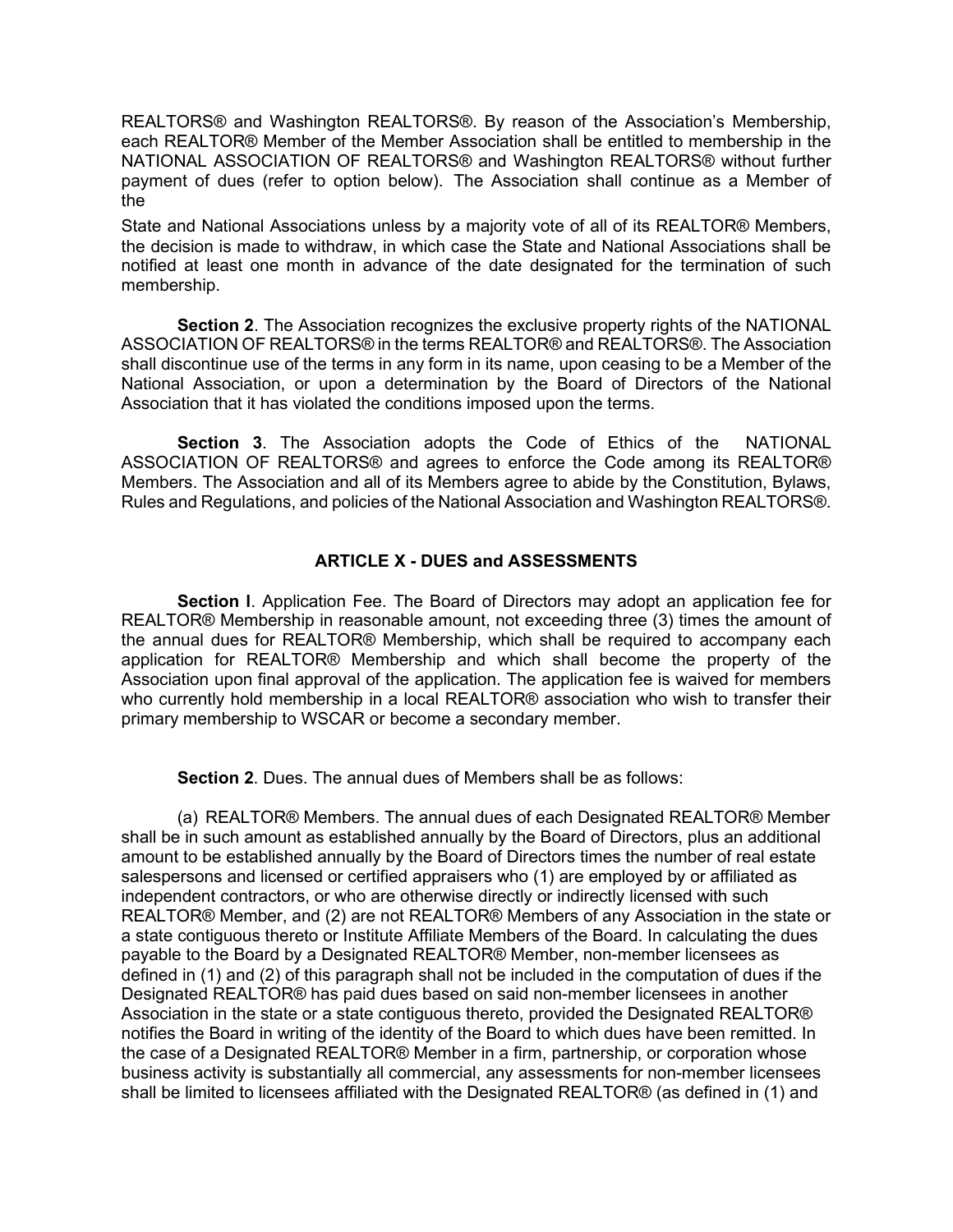REALTORS® and Washington REALTORS®. By reason of the Association's Membership, each REALTOR® Member of the Member Association shall be entitled to membership in the NATIONAL ASSOCIATION OF REALTORS® and Washington REALTORS® without further payment of dues (refer to option below). The Association shall continue as a Member of the

State and National Associations unless by a majority vote of all of its REALTOR® Members, the decision is made to withdraw, in which case the State and National Associations shall be notified at least one month in advance of the date designated for the termination of such membership.

**Section 2**. The Association recognizes the exclusive property rights of the NATIONAL ASSOCIATION OF REALTORS® in the terms REALTOR® and REALTORS®. The Association shall discontinue use of the terms in any form in its name, upon ceasing to be a Member of the National Association, or upon a determination by the Board of Directors of the National Association that it has violated the conditions imposed upon the terms.

**Section 3**. The Association adopts the Code of Ethics of the NATIONAL ASSOCIATION OF REALTORS® and agrees to enforce the Code among its REALTOR® Members. The Association and all of its Members agree to abide by the Constitution, Bylaws, Rules and Regulations, and policies of the National Association and Washington REALTORS®.

## **ARTICLE X - DUES and ASSESSMENTS**

**Section l**. Application Fee. The Board of Directors may adopt an application fee for REALTOR® Membership in reasonable amount, not exceeding three (3) times the amount of the annual dues for REALTOR® Membership, which shall be required to accompany each application for REALTOR® Membership and which shall become the property of the Association upon final approval of the application. The application fee is waived for members who currently hold membership in a local REALTOR<sup>®</sup> association who wish to transfer their primary membership to WSCAR or become a secondary member.

**Section 2**. Dues. The annual dues of Members shall be as follows:

(a) REALTOR® Members. The annual dues of each Designated REALTOR® Member shall be in such amount as established annually by the Board of Directors, plus an additional amount to be established annually by the Board of Directors times the number of real estate salespersons and licensed or certified appraisers who (1) are employed by or affiliated as independent contractors, or who are otherwise directly or indirectly licensed with such REALTOR® Member, and (2) are not REALTOR® Members of any Association in the state or a state contiguous thereto or Institute Affiliate Members of the Board. In calculating the dues payable to the Board by a Designated REALTOR® Member, non-member licensees as defined in (1) and (2) of this paragraph shall not be included in the computation of dues if the Designated REALTOR® has paid dues based on said non-member licensees in another Association in the state or a state contiguous thereto, provided the Designated REALTOR® notifies the Board in writing of the identity of the Board to which dues have been remitted. In the case of a Designated REALTOR® Member in a firm, partnership, or corporation whose business activity is substantially all commercial, any assessments for non-member licensees shall be limited to licensees affiliated with the Designated REALTOR® (as defined in (1) and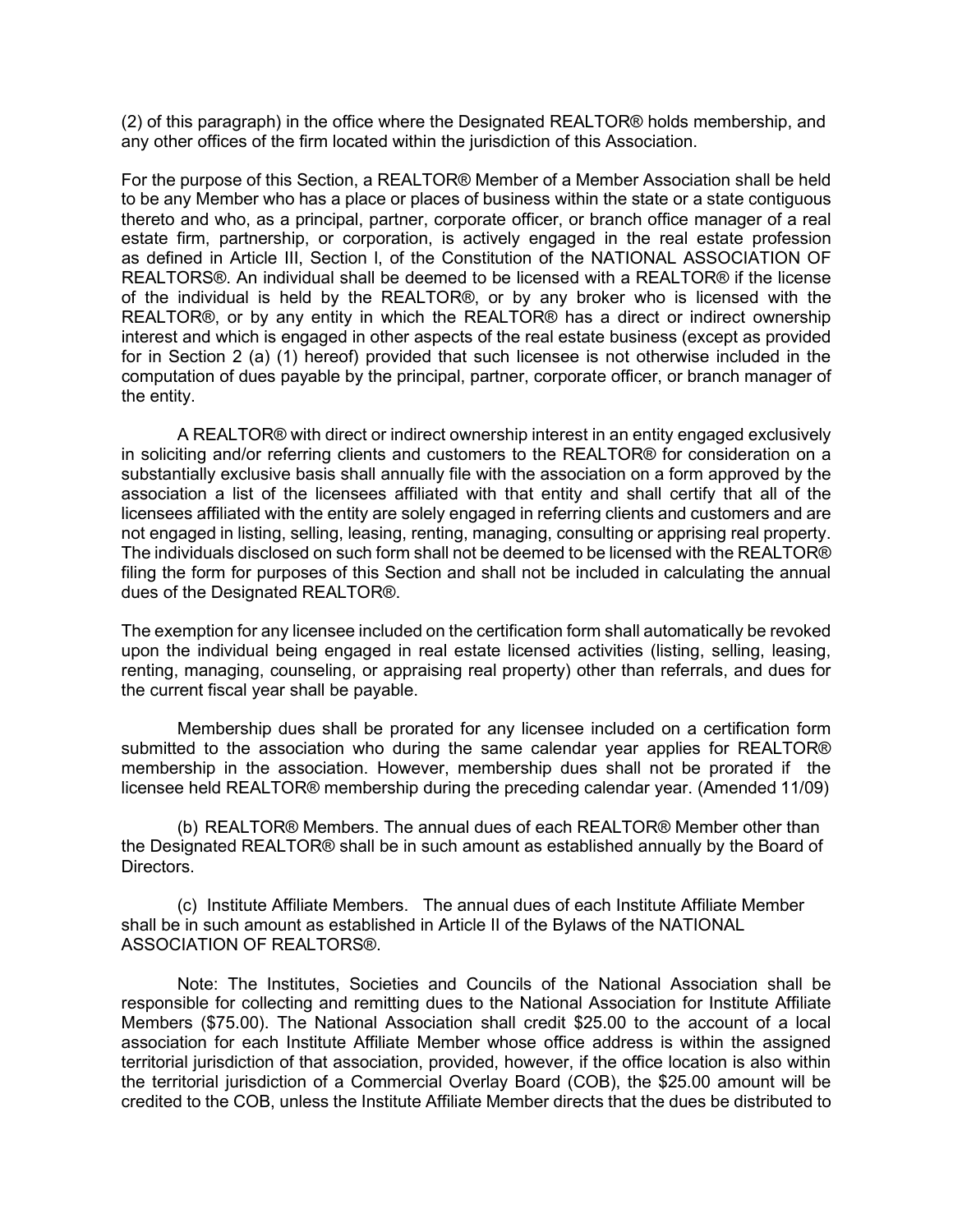(2) of this paragraph) in the office where the Designated REALTOR® holds membership, and any other offices of the firm located within the jurisdiction of this Association.

For the purpose of this Section, a REALTOR® Member of a Member Association shall be held to be any Member who has a place or places of business within the state or a state contiguous thereto and who, as a principal, partner, corporate officer, or branch office manager of a real estate firm, partnership, or corporation, is actively engaged in the real estate profession as defined in Article III, Section l, of the Constitution of the NATIONAL ASSOCIATION OF REALTORS®. An individual shall be deemed to be licensed with a REALTOR® if the license of the individual is held by the REALTOR®, or by any broker who is licensed with the REALTOR®, or by any entity in which the REALTOR® has a direct or indirect ownership interest and which is engaged in other aspects of the real estate business (except as provided for in Section 2 (a) (1) hereof) provided that such licensee is not otherwise included in the computation of dues payable by the principal, partner, corporate officer, or branch manager of the entity.

A REALTOR® with direct or indirect ownership interest in an entity engaged exclusively in soliciting and/or referring clients and customers to the REALTOR® for consideration on a substantially exclusive basis shall annually file with the association on a form approved by the association a list of the licensees affiliated with that entity and shall certify that all of the licensees affiliated with the entity are solely engaged in referring clients and customers and are not engaged in listing, selling, leasing, renting, managing, consulting or apprising real property. The individuals disclosed on such form shall not be deemed to be licensed with the REALTOR® filing the form for purposes of this Section and shall not be included in calculating the annual dues of the Designated REALTOR®.

The exemption for any licensee included on the certification form shall automatically be revoked upon the individual being engaged in real estate licensed activities (listing, selling, leasing, renting, managing, counseling, or appraising real property) other than referrals, and dues for the current fiscal year shall be payable.

Membership dues shall be prorated for any licensee included on a certification form submitted to the association who during the same calendar year applies for REALTOR® membership in the association. However, membership dues shall not be prorated if the licensee held REALTOR® membership during the preceding calendar year. (Amended 11/09)

(b) REALTOR® Members. The annual dues of each REALTOR® Member other than the Designated REALTOR® shall be in such amount as established annually by the Board of Directors.

(c) Institute Affiliate Members. The annual dues of each Institute Affiliate Member shall be in such amount as established in Article II of the Bylaws of the NATIONAL ASSOCIATION OF REALTORS®.

Note: The Institutes, Societies and Councils of the National Association shall be responsible for collecting and remitting dues to the National Association for Institute Affiliate Members (\$75.00). The National Association shall credit \$25.00 to the account of a local association for each Institute Affiliate Member whose office address is within the assigned territorial jurisdiction of that association, provided, however, if the office location is also within the territorial jurisdiction of a Commercial Overlay Board (COB), the \$25.00 amount will be credited to the COB, unless the Institute Affiliate Member directs that the dues be distributed to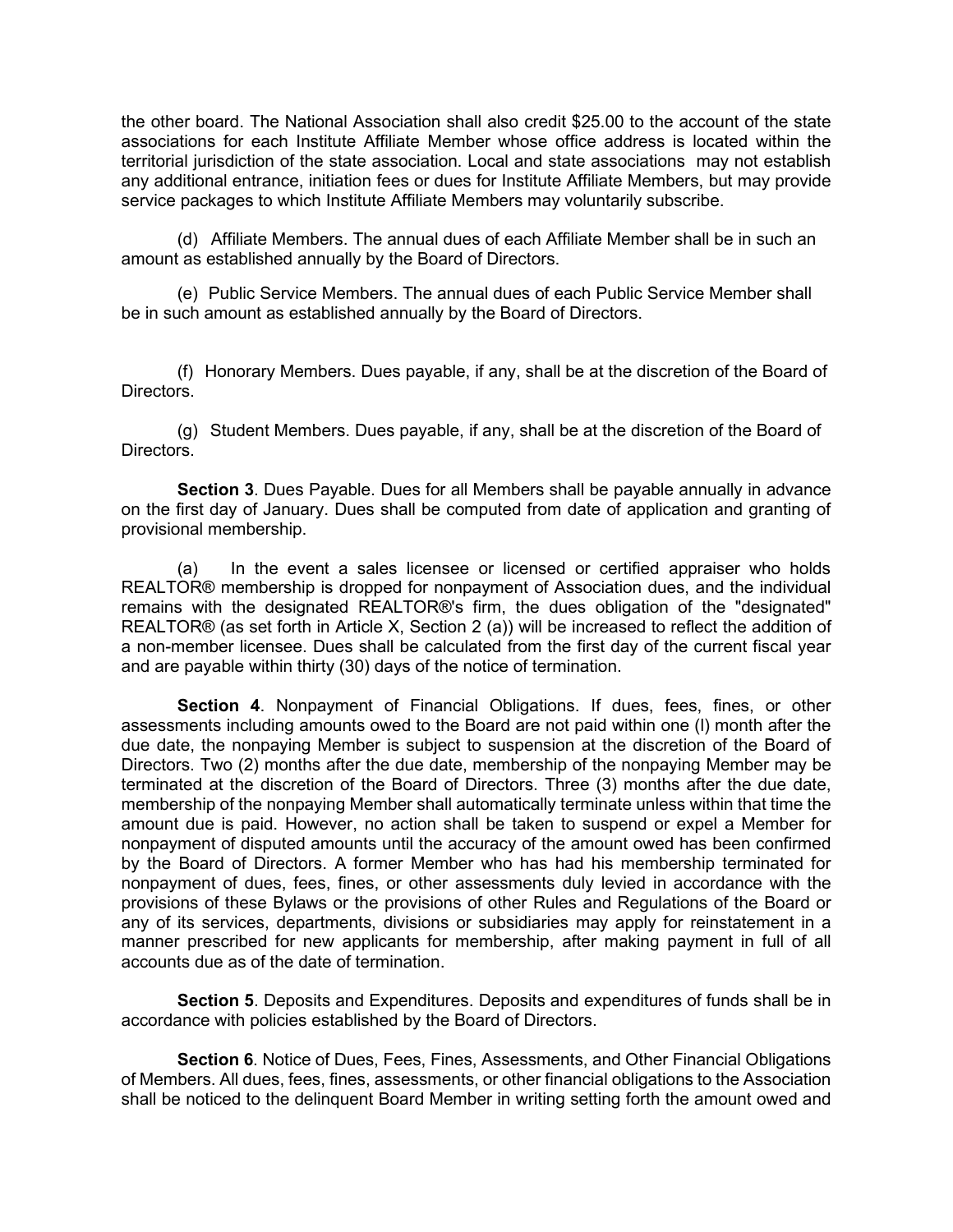the other board. The National Association shall also credit \$25.00 to the account of the state associations for each Institute Affiliate Member whose office address is located within the territorial jurisdiction of the state association. Local and state associations may not establish any additional entrance, initiation fees or dues for Institute Affiliate Members, but may provide service packages to which Institute Affiliate Members may voluntarily subscribe.

(d) Affiliate Members. The annual dues of each Affiliate Member shall be in such an amount as established annually by the Board of Directors.

(e) Public Service Members. The annual dues of each Public Service Member shall be in such amount as established annually by the Board of Directors.

(f) Honorary Members. Dues payable, if any, shall be at the discretion of the Board of **Directors** 

(g) Student Members. Dues payable, if any, shall be at the discretion of the Board of Directors.

**Section 3**. Dues Payable. Dues for all Members shall be payable annually in advance on the first day of January. Dues shall be computed from date of application and granting of provisional membership.

(a) In the event a sales licensee or licensed or certified appraiser who holds REALTOR® membership is dropped for nonpayment of Association dues, and the individual remains with the designated REALTOR®'s firm, the dues obligation of the "designated" REALTOR® (as set forth in Article X, Section 2 (a)) will be increased to reflect the addition of a non-member licensee. Dues shall be calculated from the first day of the current fiscal year and are payable within thirty (30) days of the notice of termination.

**Section 4**. Nonpayment of Financial Obligations. If dues, fees, fines, or other assessments including amounts owed to the Board are not paid within one (l) month after the due date, the nonpaying Member is subject to suspension at the discretion of the Board of Directors. Two (2) months after the due date, membership of the nonpaying Member may be terminated at the discretion of the Board of Directors. Three (3) months after the due date, membership of the nonpaying Member shall automatically terminate unless within that time the amount due is paid. However, no action shall be taken to suspend or expel a Member for nonpayment of disputed amounts until the accuracy of the amount owed has been confirmed by the Board of Directors. A former Member who has had his membership terminated for nonpayment of dues, fees, fines, or other assessments duly levied in accordance with the provisions of these Bylaws or the provisions of other Rules and Regulations of the Board or any of its services, departments, divisions or subsidiaries may apply for reinstatement in a manner prescribed for new applicants for membership, after making payment in full of all accounts due as of the date of termination.

**Section 5**. Deposits and Expenditures. Deposits and expenditures of funds shall be in accordance with policies established by the Board of Directors.

**Section 6**. Notice of Dues, Fees, Fines, Assessments, and Other Financial Obligations of Members. All dues, fees, fines, assessments, or other financial obligations to the Association shall be noticed to the delinquent Board Member in writing setting forth the amount owed and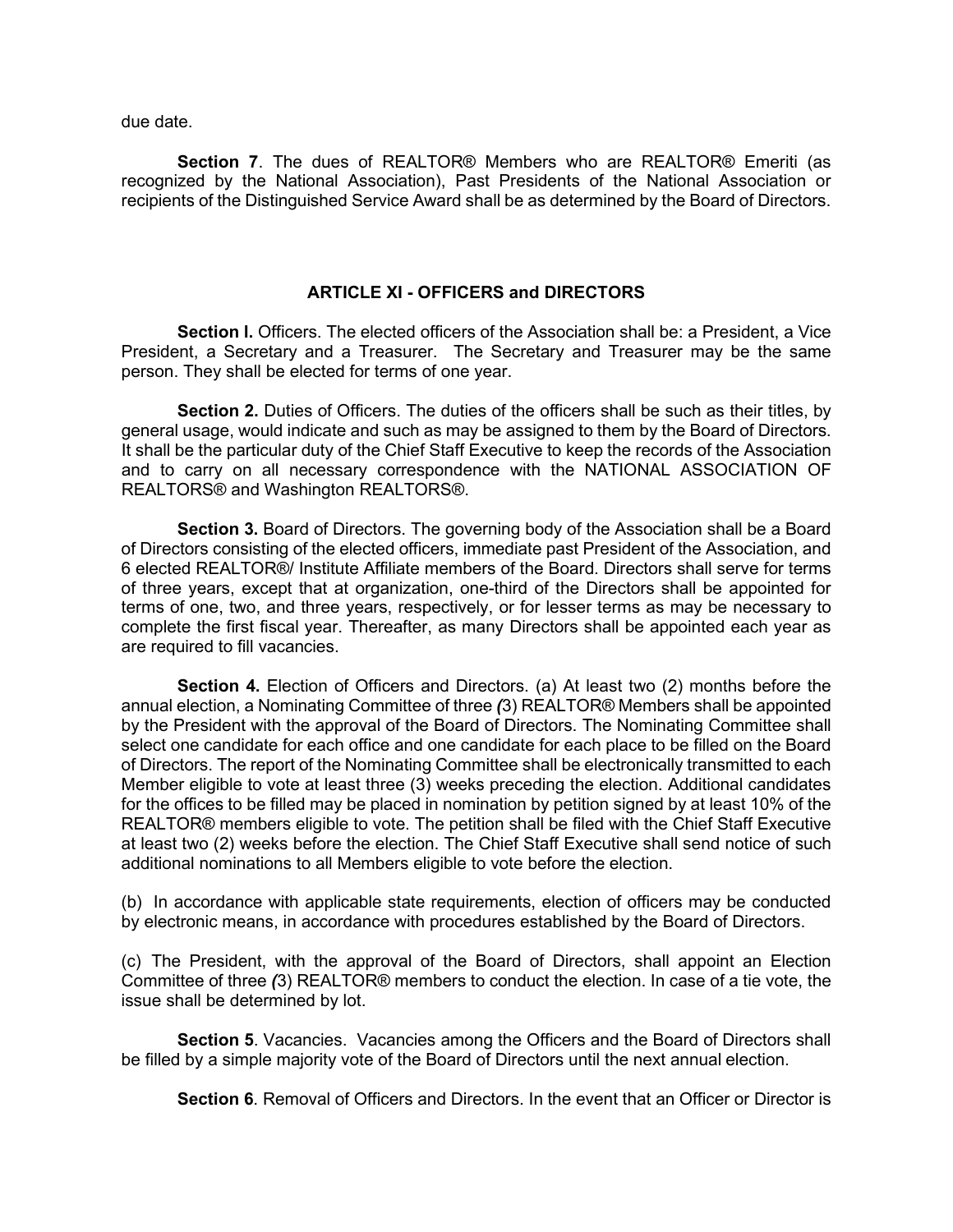due date.

**Section 7**. The dues of REALTOR® Members who are REALTOR® Emeriti (as recognized by the National Association), Past Presidents of the National Association or recipients of the Distinguished Service Award shall be as determined by the Board of Directors.

### **ARTICLE XI - OFFICERS and DIRECTORS**

**Section I.** Officers. The elected officers of the Association shall be: a President, a Vice President, a Secretary and a Treasurer. The Secretary and Treasurer may be the same person. They shall be elected for terms of one year.

**Section 2.** Duties of Officers. The duties of the officers shall be such as their titles, by general usage, would indicate and such as may be assigned to them by the Board of Directors. It shall be the particular duty of the Chief Staff Executive to keep the records of the Association and to carry on all necessary correspondence with the NATIONAL ASSOCIATION OF REALTORS® and Washington REALTORS®.

**Section 3.** Board of Directors. The governing body of the Association shall be a Board of Directors consisting of the elected officers, immediate past President of the Association, and 6 elected REALTOR®/ Institute Affiliate members of the Board. Directors shall serve for terms of three years, except that at organization, one-third of the Directors shall be appointed for terms of one, two, and three years, respectively, or for lesser terms as may be necessary to complete the first fiscal year. Thereafter, as many Directors shall be appointed each year as are required to fill vacancies.

**Section 4.** Election of Officers and Directors. (a) At least two (2) months before the annual election, a Nominating Committee of three *(*3) REALTOR® Members shall be appointed by the President with the approval of the Board of Directors. The Nominating Committee shall select one candidate for each office and one candidate for each place to be filled on the Board of Directors. The report of the Nominating Committee shall be electronically transmitted to each Member eligible to vote at least three (3) weeks preceding the election. Additional candidates for the offices to be filled may be placed in nomination by petition signed by at least 10% of the REALTOR® members eligible to vote. The petition shall be filed with the Chief Staff Executive at least two (2) weeks before the election. The Chief Staff Executive shall send notice of such additional nominations to all Members eligible to vote before the election.

(b) In accordance with applicable state requirements, election of officers may be conducted by electronic means, in accordance with procedures established by the Board of Directors.

(c) The President, with the approval of the Board of Directors, shall appoint an Election Committee of three *(*3) REALTOR® members to conduct the election. In case of a tie vote, the issue shall be determined by lot.

**Section 5**. Vacancies. Vacancies among the Officers and the Board of Directors shall be filled by a simple majority vote of the Board of Directors until the next annual election.

**Section 6**. Removal of Officers and Directors. In the event that an Officer or Director is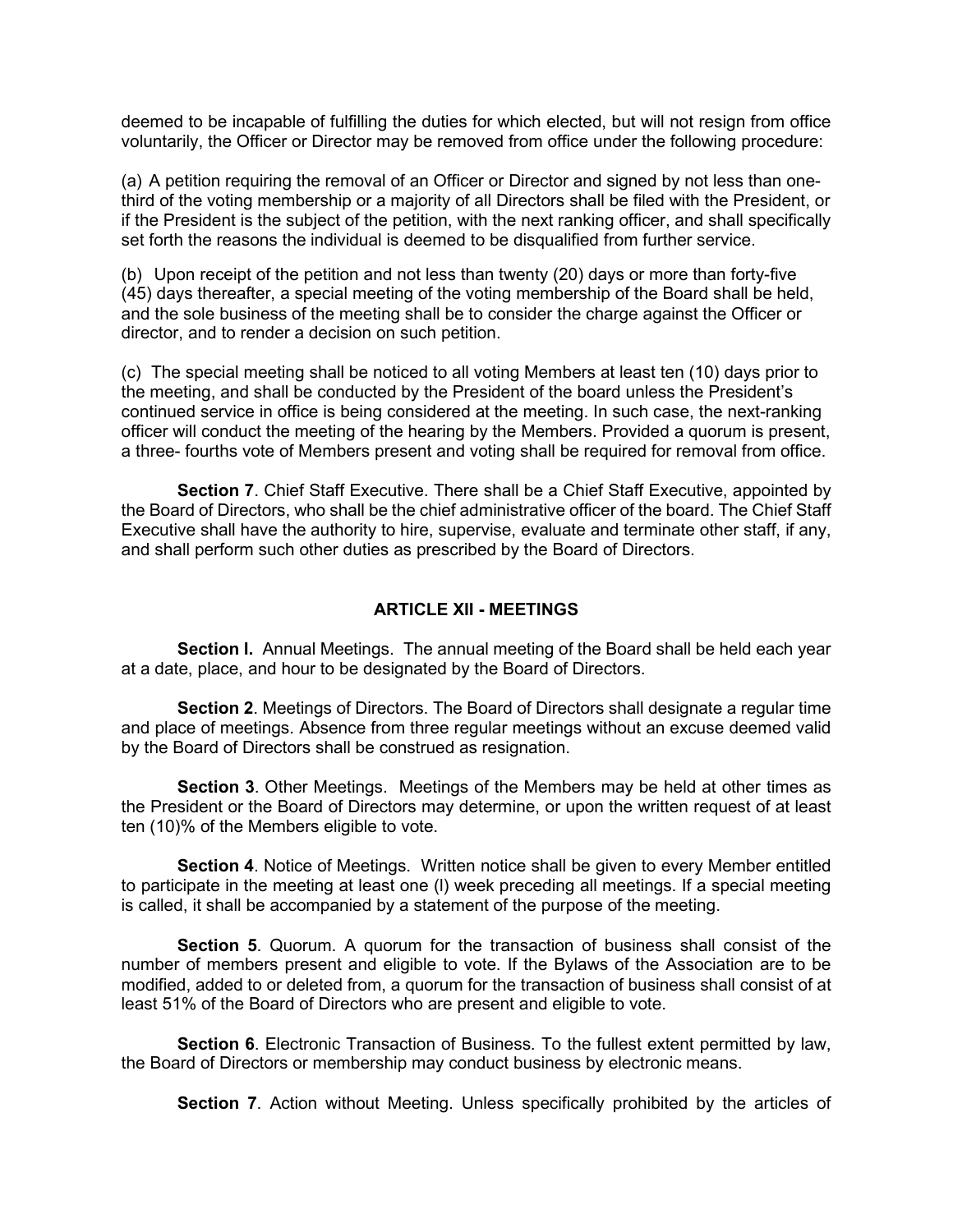deemed to be incapable of fulfilling the duties for which elected, but will not resign from office voluntarily, the Officer or Director may be removed from office under the following procedure:

(a) A petition requiring the removal of an Officer or Director and signed by not less than onethird of the voting membership or a majority of all Directors shall be filed with the President, or if the President is the subject of the petition, with the next ranking officer, and shall specifically set forth the reasons the individual is deemed to be disqualified from further service.

(b) Upon receipt of the petition and not less than twenty (20) days or more than forty-five (45) days thereafter, a special meeting of the voting membership of the Board shall be held, and the sole business of the meeting shall be to consider the charge against the Officer or director, and to render a decision on such petition.

(c) The special meeting shall be noticed to all voting Members at least ten (10) days prior to the meeting, and shall be conducted by the President of the board unless the President's continued service in office is being considered at the meeting. In such case, the next-ranking officer will conduct the meeting of the hearing by the Members. Provided a quorum is present, a three- fourths vote of Members present and voting shall be required for removal from office.

**Section 7**. Chief Staff Executive. There shall be a Chief Staff Executive, appointed by the Board of Directors, who shall be the chief administrative officer of the board. The Chief Staff Executive shall have the authority to hire, supervise, evaluate and terminate other staff, if any, and shall perform such other duties as prescribed by the Board of Directors.

#### **ARTICLE XII - MEETINGS**

**Section l.** Annual Meetings. The annual meeting of the Board shall be held each year at a date, place, and hour to be designated by the Board of Directors.

**Section 2**. Meetings of Directors. The Board of Directors shall designate a regular time and place of meetings. Absence from three regular meetings without an excuse deemed valid by the Board of Directors shall be construed as resignation.

**Section 3**. Other Meetings. Meetings of the Members may be held at other times as the President or the Board of Directors may determine, or upon the written request of at least ten (10)% of the Members eligible to vote.

**Section 4**. Notice of Meetings. Written notice shall be given to every Member entitled to participate in the meeting at least one (l) week preceding all meetings. If a special meeting is called, it shall be accompanied by a statement of the purpose of the meeting.

**Section 5**. Quorum. A quorum for the transaction of business shall consist of the number of members present and eligible to vote. If the Bylaws of the Association are to be modified, added to or deleted from, a quorum for the transaction of business shall consist of at least 51% of the Board of Directors who are present and eligible to vote.

**Section 6**. Electronic Transaction of Business. To the fullest extent permitted by law, the Board of Directors or membership may conduct business by electronic means.

**Section 7**. Action without Meeting. Unless specifically prohibited by the articles of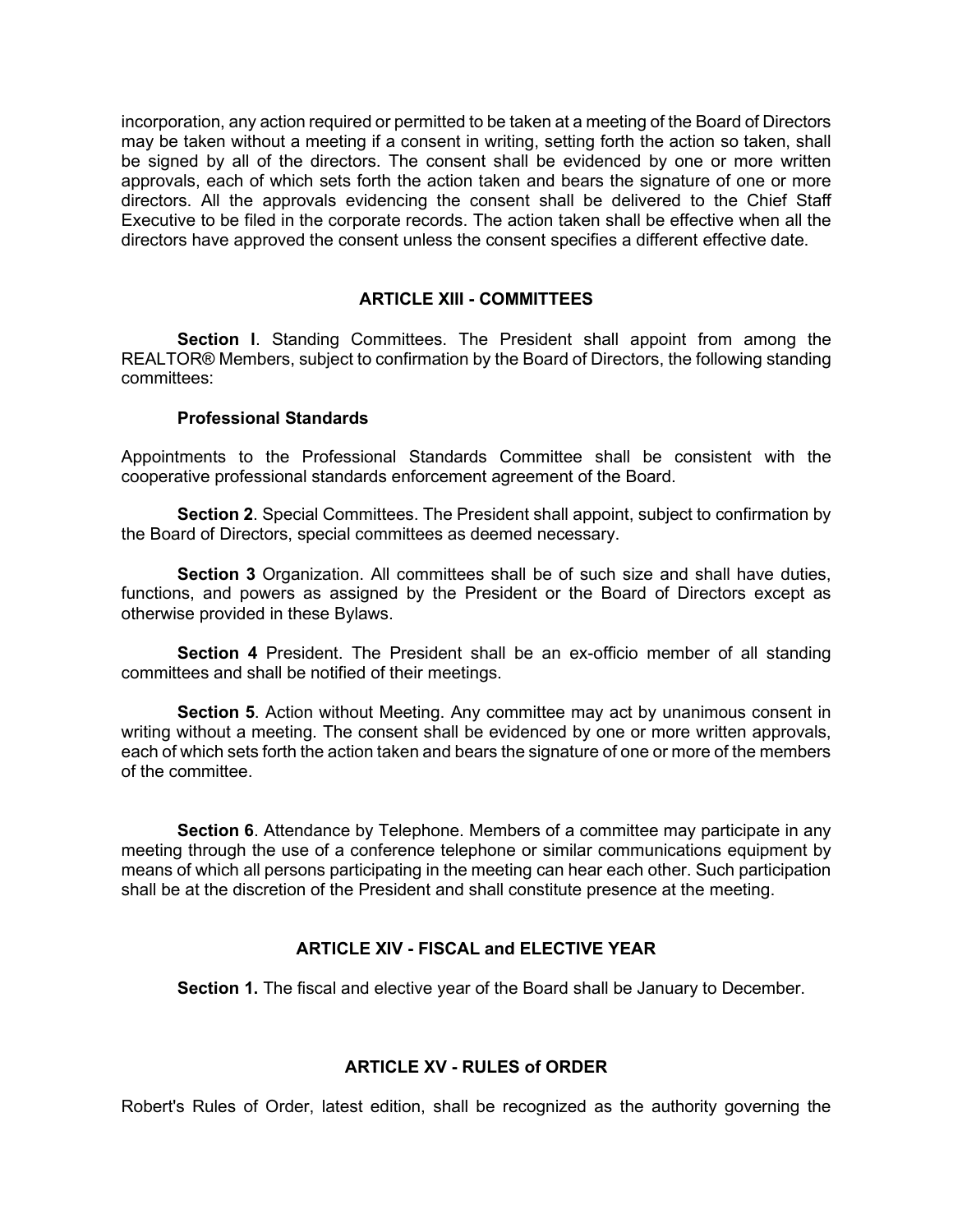incorporation, any action required or permitted to be taken at a meeting of the Board of Directors may be taken without a meeting if a consent in writing, setting forth the action so taken, shall be signed by all of the directors. The consent shall be evidenced by one or more written approvals, each of which sets forth the action taken and bears the signature of one or more directors. All the approvals evidencing the consent shall be delivered to the Chief Staff Executive to be filed in the corporate records. The action taken shall be effective when all the directors have approved the consent unless the consent specifies a different effective date.

## **ARTICLE XIII - COMMITTEES**

**Section l**. Standing Committees. The President shall appoint from among the REALTOR® Members, subject to confirmation by the Board of Directors, the following standing committees:

### **Professional Standards**

Appointments to the Professional Standards Committee shall be consistent with the cooperative professional standards enforcement agreement of the Board.

**Section 2**. Special Committees. The President shall appoint, subject to confirmation by the Board of Directors, special committees as deemed necessary.

**Section 3** Organization. All committees shall be of such size and shall have duties, functions, and powers as assigned by the President or the Board of Directors except as otherwise provided in these Bylaws.

**Section 4** President. The President shall be an ex-officio member of all standing committees and shall be notified of their meetings.

**Section 5**. Action without Meeting. Any committee may act by unanimous consent in writing without a meeting. The consent shall be evidenced by one or more written approvals, each of which sets forth the action taken and bears the signature of one or more of the members of the committee.

**Section 6**. Attendance by Telephone. Members of a committee may participate in any meeting through the use of a conference telephone or similar communications equipment by means of which all persons participating in the meeting can hear each other. Such participation shall be at the discretion of the President and shall constitute presence at the meeting.

### **ARTICLE XIV - FISCAL and ELECTIVE YEAR**

**Section 1.** The fiscal and elective year of the Board shall be January to December.

### **ARTICLE XV - RULES of ORDER**

Robert's Rules of Order, latest edition, shall be recognized as the authority governing the